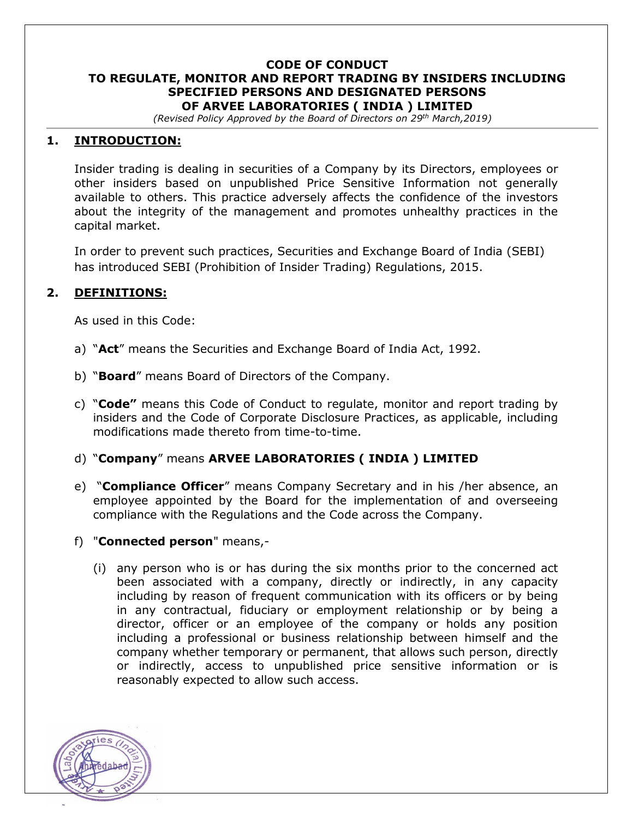#### **CODE OF CONDUCT TO REGULATE, MONITOR AND REPORT TRADING BY INSIDERS INCLUDING SPECIFIED PERSONS AND DESIGNATED PERSONS OF ARVEE LABORATORIES ( INDIA ) LIMITED**

*(Revised Policy Approved by the Board of Directors on 29th March,2019)*

## **1. INTRODUCTION:**

Insider trading is dealing in securities of a Company by its Directors, employees or other insiders based on unpublished Price Sensitive Information not generally available to others. This practice adversely affects the confidence of the investors about the integrity of the management and promotes unhealthy practices in the capital market.

In order to prevent such practices, Securities and Exchange Board of India (SEBI) has introduced SEBI (Prohibition of Insider Trading) Regulations, 2015.

### **2. DEFINITIONS:**

As used in this Code:

- a) "**Act**" means the Securities and Exchange Board of India Act, 1992.
- b) "**Board**" means Board of Directors of the Company.
- c) "**Code"** means this Code of Conduct to regulate, monitor and report trading by insiders and the Code of Corporate Disclosure Practices, as applicable, including modifications made thereto from time-to-time.

### d) "**Company**" means **ARVEE LABORATORIES ( INDIA ) LIMITED**

- e) "**Compliance Officer**" means Company Secretary and in his /her absence, an employee appointed by the Board for the implementation of and overseeing compliance with the Regulations and the Code across the Company.
- f) "**Connected person**" means,-
	- (i) any person who is or has during the six months prior to the concerned act been associated with a company, directly or indirectly, in any capacity including by reason of frequent communication with its officers or by being in any contractual, fiduciary or employment relationship or by being a director, officer or an employee of the company or holds any position including a professional or business relationship between himself and the company whether temporary or permanent, that allows such person, directly or indirectly, access to unpublished price sensitive information or is reasonably expected to allow such access.

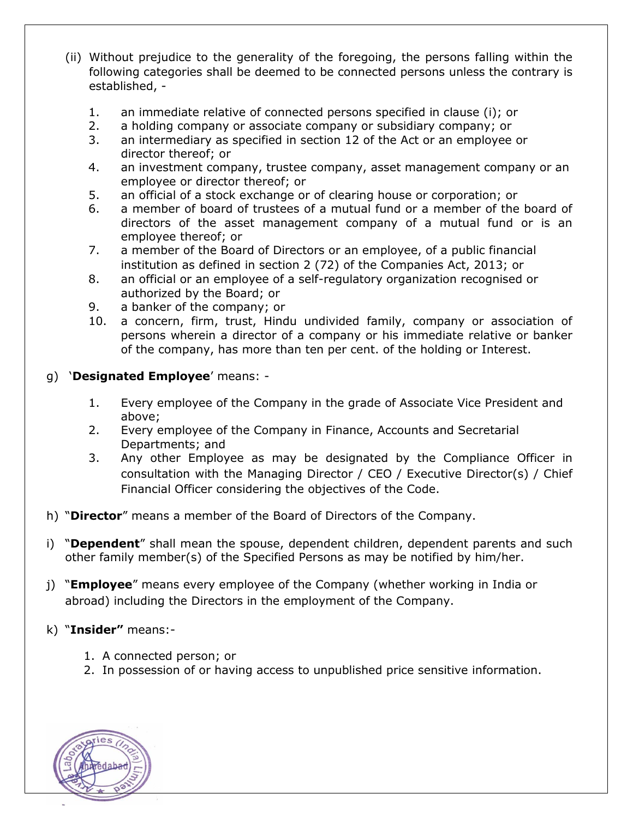- (ii) Without prejudice to the generality of the foregoing, the persons falling within the following categories shall be deemed to be connected persons unless the contrary is established, -
	- 1. an immediate relative of connected persons specified in clause (i); or
	- 2. a holding company or associate company or subsidiary company; or
	- 3. an intermediary as specified in section 12 of the Act or an employee or director thereof; or
	- 4. an investment company, trustee company, asset management company or an employee or director thereof; or
	- 5. an official of a stock exchange or of clearing house or corporation; or
	- 6. a member of board of trustees of a mutual fund or a member of the board of directors of the asset management company of a mutual fund or is an employee thereof; or
	- 7. a member of the Board of Directors or an employee, of a public financial institution as defined in section 2 (72) of the Companies Act, 2013; or
	- 8. an official or an employee of a self-regulatory organization recognised or authorized by the Board; or
	- 9. a banker of the company; or
	- 10. a concern, firm, trust, Hindu undivided family, company or association of persons wherein a director of a company or his immediate relative or banker of the company, has more than ten per cent. of the holding or Interest.
- g) '**Designated Employee**' means:
	- 1. Every employee of the Company in the grade of Associate Vice President and above;
	- 2. Every employee of the Company in Finance, Accounts and Secretarial Departments; and
	- 3. Any other Employee as may be designated by the Compliance Officer in consultation with the Managing Director / CEO / Executive Director(s) / Chief Financial Officer considering the objectives of the Code.
- h) "**Director**" means a member of the Board of Directors of the Company.
- i) "**Dependent**" shall mean the spouse, dependent children, dependent parents and such other family member(s) of the Specified Persons as may be notified by him/her.
- j) "**Employee**" means every employee of the Company (whether working in India or abroad) including the Directors in the employment of the Company.
- k) "**Insider"** means:-
	- 1. A connected person; or
	- 2. In possession of or having access to unpublished price sensitive information.

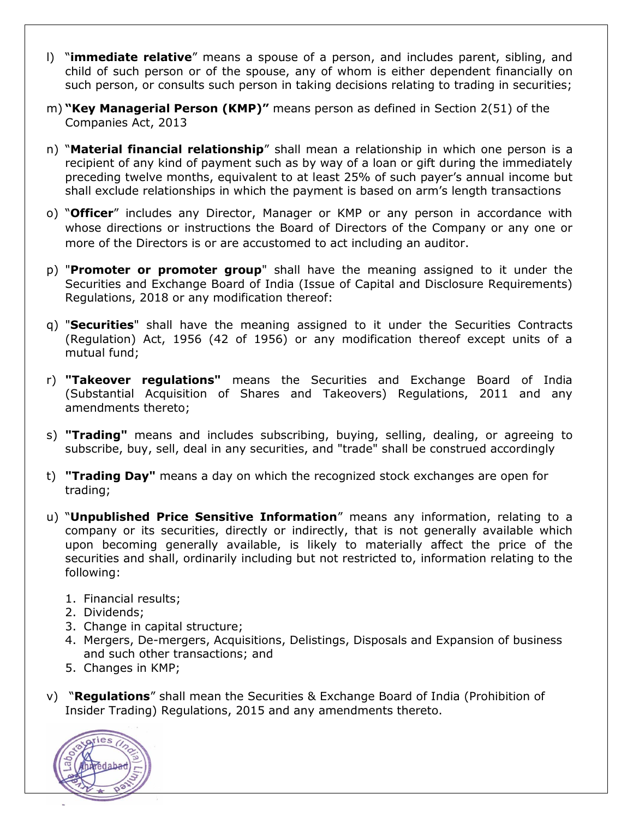- l) "**immediate relative**" means a spouse of a person, and includes parent, sibling, and child of such person or of the spouse, any of whom is either dependent financially on such person, or consults such person in taking decisions relating to trading in securities;
- m) **"Key Managerial Person (KMP)"** means person as defined in Section 2(51) of the Companies Act, 2013
- n) "**Material financial relationship**" shall mean a relationship in which one person is a recipient of any kind of payment such as by way of a loan or gift during the immediately preceding twelve months, equivalent to at least 25% of such payer's annual income but shall exclude relationships in which the payment is based on arm's length transactions
- o) "**Officer**" includes any Director, Manager or KMP or any person in accordance with whose directions or instructions the Board of Directors of the Company or any one or more of the Directors is or are accustomed to act including an auditor.
- p) "**Promoter or promoter group**" shall have the meaning assigned to it under the Securities and Exchange Board of India (Issue of Capital and Disclosure Requirements) Regulations, 2018 or any modification thereof:
- q) "**Securities**" shall have the meaning assigned to it under the Securities Contracts (Regulation) Act, 1956 (42 of 1956) or any modification thereof except units of a mutual fund;
- r) **"Takeover regulations"** means the Securities and Exchange Board of India (Substantial Acquisition of Shares and Takeovers) Regulations, 2011 and any amendments thereto;
- s) **"Trading"** means and includes subscribing, buying, selling, dealing, or agreeing to subscribe, buy, sell, deal in any securities, and "trade" shall be construed accordingly
- t) **"Trading Day"** means a day on which the recognized stock exchanges are open for trading;
- u) "**Unpublished Price Sensitive Information**" means any information, relating to a company or its securities, directly or indirectly, that is not generally available which upon becoming generally available, is likely to materially affect the price of the securities and shall, ordinarily including but not restricted to, information relating to the following:
	- 1. Financial results;
	- 2. Dividends;
	- 3. Change in capital structure;
	- 4. Mergers, De-mergers, Acquisitions, Delistings, Disposals and Expansion of business and such other transactions; and
	- 5. Changes in KMP;
- v) "**Regulations**" shall mean the Securities & Exchange Board of India (Prohibition of Insider Trading) Regulations, 2015 and any amendments thereto.

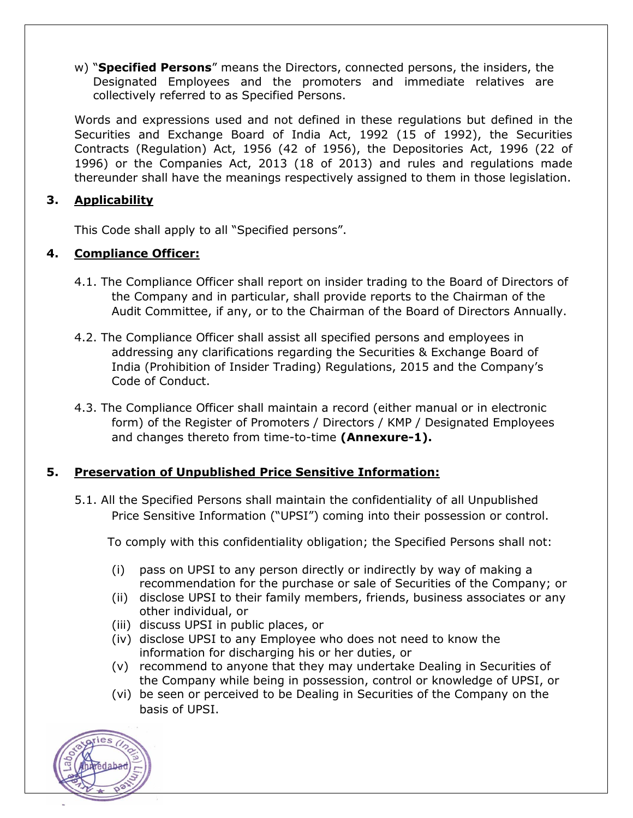w) "**Specified Persons**" means the Directors, connected persons, the insiders, the Designated Employees and the promoters and immediate relatives are collectively referred to as Specified Persons.

Words and expressions used and not defined in these regulations but defined in the Securities and Exchange Board of India Act, 1992 (15 of 1992), the Securities Contracts (Regulation) Act, 1956 (42 of 1956), the Depositories Act, 1996 (22 of 1996) or the Companies Act, 2013 (18 of 2013) and rules and regulations made thereunder shall have the meanings respectively assigned to them in those legislation.

# **3. Applicability**

This Code shall apply to all "Specified persons".

# **4. Compliance Officer:**

- 4.1. The Compliance Officer shall report on insider trading to the Board of Directors of the Company and in particular, shall provide reports to the Chairman of the Audit Committee, if any, or to the Chairman of the Board of Directors Annually.
- 4.2. The Compliance Officer shall assist all specified persons and employees in addressing any clarifications regarding the Securities & Exchange Board of India (Prohibition of Insider Trading) Regulations, 2015 and the Company's Code of Conduct.
- 4.3. The Compliance Officer shall maintain a record (either manual or in electronic form) of the Register of Promoters / Directors / KMP / Designated Employees and changes thereto from time-to-time **(Annexure-1).**

# **5. Preservation of Unpublished Price Sensitive Information:**

5.1. All the Specified Persons shall maintain the confidentiality of all Unpublished Price Sensitive Information ("UPSI") coming into their possession or control.

To comply with this confidentiality obligation; the Specified Persons shall not:

- (i) pass on UPSI to any person directly or indirectly by way of making a recommendation for the purchase or sale of Securities of the Company; or
- (ii) disclose UPSI to their family members, friends, business associates or any other individual, or
- (iii) discuss UPSI in public places, or
- (iv) disclose UPSI to any Employee who does not need to know the information for discharging his or her duties, or
- (v) recommend to anyone that they may undertake Dealing in Securities of the Company while being in possession, control or knowledge of UPSI, or
- (vi) be seen or perceived to be Dealing in Securities of the Company on the basis of UPSI.

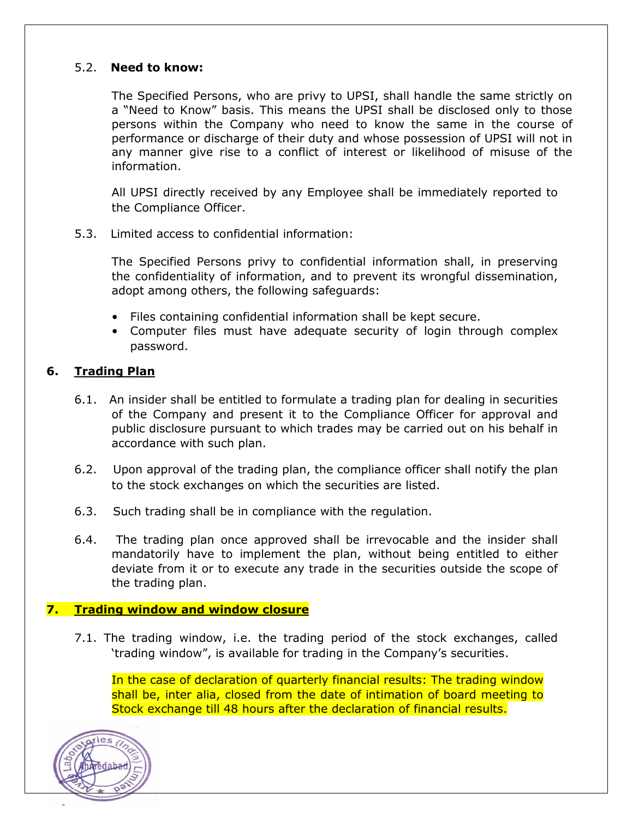### 5.2. **Need to know:**

The Specified Persons, who are privy to UPSI, shall handle the same strictly on a "Need to Know" basis. This means the UPSI shall be disclosed only to those persons within the Company who need to know the same in the course of performance or discharge of their duty and whose possession of UPSI will not in any manner give rise to a conflict of interest or likelihood of misuse of the information.

All UPSI directly received by any Employee shall be immediately reported to the Compliance Officer.

5.3. Limited access to confidential information:

The Specified Persons privy to confidential information shall, in preserving the confidentiality of information, and to prevent its wrongful dissemination, adopt among others, the following safeguards:

- Files containing confidential information shall be kept secure.
- Computer files must have adequate security of login through complex password.

### **6. Trading Plan**

- 6.1. An insider shall be entitled to formulate a trading plan for dealing in securities of the Company and present it to the Compliance Officer for approval and public disclosure pursuant to which trades may be carried out on his behalf in accordance with such plan.
- 6.2. Upon approval of the trading plan, the compliance officer shall notify the plan to the stock exchanges on which the securities are listed.
- 6.3. Such trading shall be in compliance with the regulation.
- 6.4. The trading plan once approved shall be irrevocable and the insider shall mandatorily have to implement the plan, without being entitled to either deviate from it or to execute any trade in the securities outside the scope of the trading plan.

#### **7. Trading window and window closure**

7.1. The trading window, i.e. the trading period of the stock exchanges, called 'trading window", is available for trading in the Company's securities.

In the case of declaration of quarterly financial results: The trading window shall be, inter alia, closed from the date of intimation of board meeting to Stock exchange till 48 hours after the declaration of financial results.

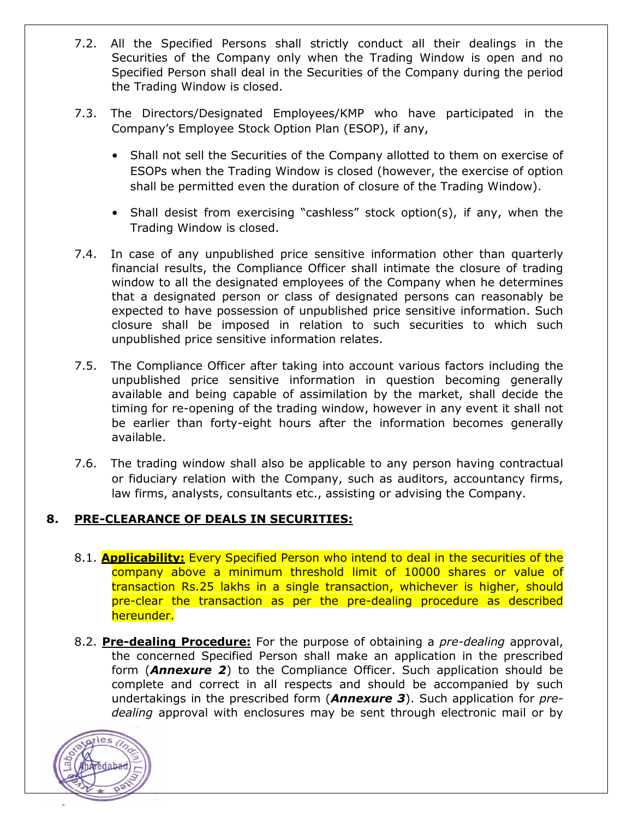- 7.2. All the Specified Persons shall strictly conduct all their dealings in the Securities of the Company only when the Trading Window is open and no Specified Person shall deal in the Securities of the Company during the period the Trading Window is closed.
- 7.3. The Directors/Designated Employees/KMP who have participated in the Company's Employee Stock Option Plan (ESOP), if any,
	- Shall not sell the Securities of the Company allotted to them on exercise of ESOPs when the Trading Window is closed (however, the exercise of option shall be permitted even the duration of closure of the Trading Window).
	- Shall desist from exercising "cashless" stock option(s), if any, when the Trading Window is closed.
- 7.4. In case of any unpublished price sensitive information other than quarterly financial results, the Compliance Officer shall intimate the closure of trading window to all the designated employees of the Company when he determines that a designated person or class of designated persons can reasonably be expected to have possession of unpublished price sensitive information. Such closure shall be imposed in relation to such securities to which such unpublished price sensitive information relates.
- 7.5. The Compliance Officer after taking into account various factors including the unpublished price sensitive information in question becoming generally available and being capable of assimilation by the market, shall decide the timing for re-opening of the trading window, however in any event it shall not be earlier than forty-eight hours after the information becomes generally available.
- 7.6. The trading window shall also be applicable to any person having contractual or fiduciary relation with the Company, such as auditors, accountancy firms, law firms, analysts, consultants etc., assisting or advising the Company.

# **8. PRE-CLEARANCE OF DEALS IN SECURITIES:**

- 8.1. **Applicability:** Every Specified Person who intend to deal in the securities of the company above a minimum threshold limit of 10000 shares or value of transaction Rs.25 lakhs in a single transaction, whichever is higher, should pre-clear the transaction as per the pre-dealing procedure as described hereunder.
- 8.2. **Pre-dealing Procedure:** For the purpose of obtaining a *pre-dealing* approval, the concerned Specified Person shall make an application in the prescribed form (*Annexure 2*) to the Compliance Officer. Such application should be complete and correct in all respects and should be accompanied by such undertakings in the prescribed form (*Annexure 3*). Such application for *predealing* approval with enclosures may be sent through electronic mail or by

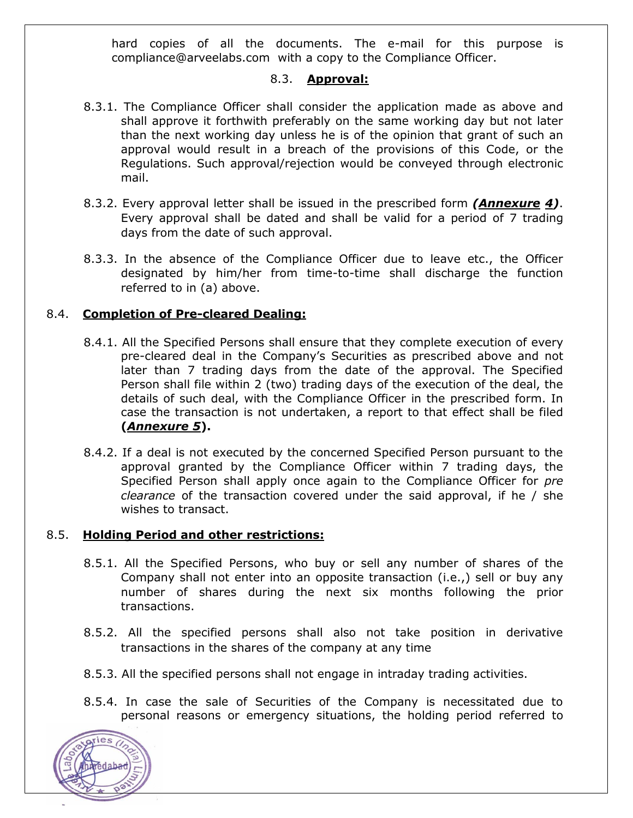hard copies of all the documents. The e-mail for this purpose is compliance@arveelabs.com with a copy to the Compliance Officer.

## 8.3. **Approval:**

- 8.3.1. The Compliance Officer shall consider the application made as above and shall approve it forthwith preferably on the same working day but not later than the next working day unless he is of the opinion that grant of such an approval would result in a breach of the provisions of this Code, or the Regulations. Such approval/rejection would be conveyed through electronic mail.
- 8.3.2. Every approval letter shall be issued in the prescribed form *(Annexure 4)*. Every approval shall be dated and shall be valid for a period of 7 trading days from the date of such approval.
- 8.3.3. In the absence of the Compliance Officer due to leave etc., the Officer designated by him/her from time-to-time shall discharge the function referred to in (a) above.

# 8.4. **Completion of Pre-cleared Dealing:**

- 8.4.1. All the Specified Persons shall ensure that they complete execution of every pre-cleared deal in the Company's Securities as prescribed above and not later than 7 trading days from the date of the approval. The Specified Person shall file within 2 (two) trading days of the execution of the deal, the details of such deal, with the Compliance Officer in the prescribed form. In case the transaction is not undertaken, a report to that effect shall be filed **(***Annexure 5***).**
- 8.4.2. If a deal is not executed by the concerned Specified Person pursuant to the approval granted by the Compliance Officer within 7 trading days, the Specified Person shall apply once again to the Compliance Officer for *pre clearance* of the transaction covered under the said approval, if he / she wishes to transact.

### 8.5. **Holding Period and other restrictions:**

- 8.5.1. All the Specified Persons, who buy or sell any number of shares of the Company shall not enter into an opposite transaction (i.e.,) sell or buy any number of shares during the next six months following the prior transactions.
- 8.5.2. All the specified persons shall also not take position in derivative transactions in the shares of the company at any time
- 8.5.3. All the specified persons shall not engage in intraday trading activities.
- 8.5.4. In case the sale of Securities of the Company is necessitated due to personal reasons or emergency situations, the holding period referred to

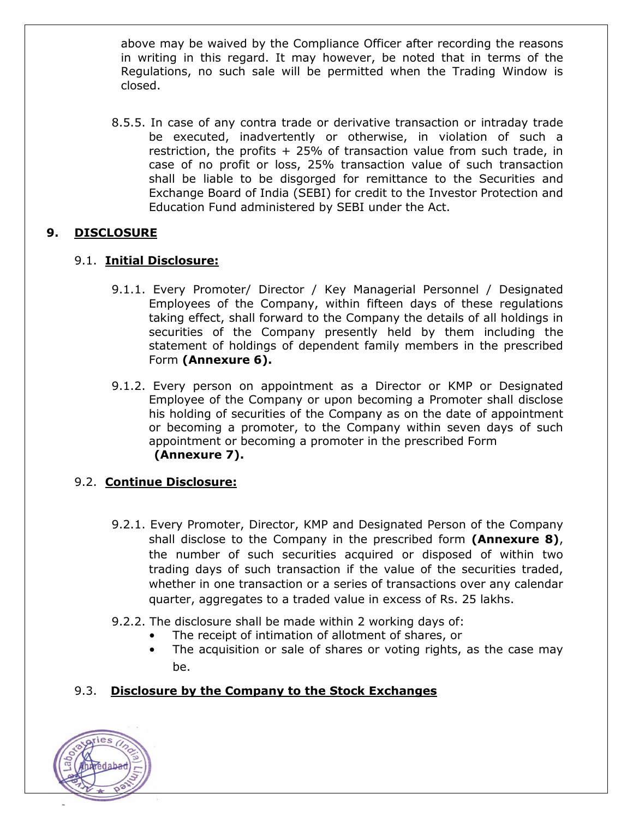above may be waived by the Compliance Officer after recording the reasons in writing in this regard. It may however, be noted that in terms of the Regulations, no such sale will be permitted when the Trading Window is closed.

8.5.5. In case of any contra trade or derivative transaction or intraday trade be executed, inadvertently or otherwise, in violation of such a restriction, the profits + 25% of transaction value from such trade, in case of no profit or loss, 25% transaction value of such transaction shall be liable to be disgorged for remittance to the Securities and Exchange Board of India (SEBI) for credit to the Investor Protection and Education Fund administered by SEBI under the Act.

# **9. DISCLOSURE**

# 9.1. **Initial Disclosure:**

- 9.1.1. Every Promoter/ Director / Key Managerial Personnel / Designated Employees of the Company, within fifteen days of these regulations taking effect, shall forward to the Company the details of all holdings in securities of the Company presently held by them including the statement of holdings of dependent family members in the prescribed Form **(Annexure 6).**
- 9.1.2. Every person on appointment as a Director or KMP or Designated Employee of the Company or upon becoming a Promoter shall disclose his holding of securities of the Company as on the date of appointment or becoming a promoter, to the Company within seven days of such appointment or becoming a promoter in the prescribed Form **(Annexure 7).**

# 9.2. **Continue Disclosure:**

- 9.2.1. Every Promoter, Director, KMP and Designated Person of the Company shall disclose to the Company in the prescribed form **(Annexure 8)**, the number of such securities acquired or disposed of within two trading days of such transaction if the value of the securities traded, whether in one transaction or a series of transactions over any calendar quarter, aggregates to a traded value in excess of Rs. 25 lakhs.
- 9.2.2. The disclosure shall be made within 2 working days of:
	- The receipt of intimation of allotment of shares, or
	- The acquisition or sale of shares or voting rights, as the case may be.

# 9.3. **Disclosure by the Company to the Stock Exchanges**

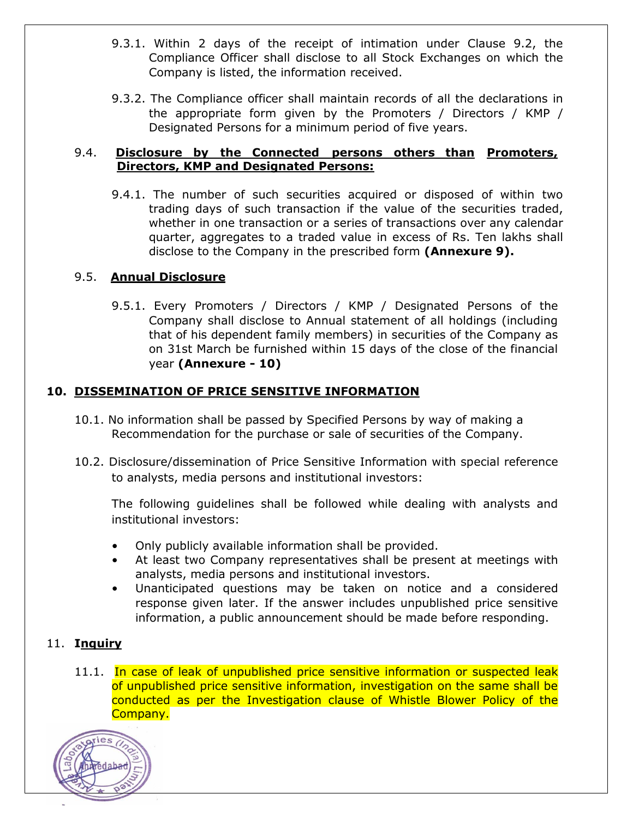- 9.3.1. Within 2 days of the receipt of intimation under Clause 9.2, the Compliance Officer shall disclose to all Stock Exchanges on which the Company is listed, the information received.
- 9.3.2. The Compliance officer shall maintain records of all the declarations in the appropriate form given by the Promoters / Directors / KMP / Designated Persons for a minimum period of five years.

### 9.4. **Disclosure by the Connected persons others than Promoters, Directors, KMP and Designated Persons:**

9.4.1. The number of such securities acquired or disposed of within two trading days of such transaction if the value of the securities traded, whether in one transaction or a series of transactions over any calendar quarter, aggregates to a traded value in excess of Rs. Ten lakhs shall disclose to the Company in the prescribed form **(Annexure 9).**

# 9.5. **Annual Disclosure**

9.5.1. Every Promoters / Directors / KMP / Designated Persons of the Company shall disclose to Annual statement of all holdings (including that of his dependent family members) in securities of the Company as on 31st March be furnished within 15 days of the close of the financial year **(Annexure - 10)**

# **10. DISSEMINATION OF PRICE SENSITIVE INFORMATION**

- 10.1. No information shall be passed by Specified Persons by way of making a Recommendation for the purchase or sale of securities of the Company.
- 10.2. Disclosure/dissemination of Price Sensitive Information with special reference to analysts, media persons and institutional investors:

The following guidelines shall be followed while dealing with analysts and institutional investors:

- Only publicly available information shall be provided.
- At least two Company representatives shall be present at meetings with analysts, media persons and institutional investors.
- Unanticipated questions may be taken on notice and a considered response given later. If the answer includes unpublished price sensitive information, a public announcement should be made before responding.

# 11. **Inquiry**

11.1. In case of leak of unpublished price sensitive information or suspected leak of unpublished price sensitive information, investigation on the same shall be conducted as per the Investigation clause of Whistle Blower Policy of the Company.

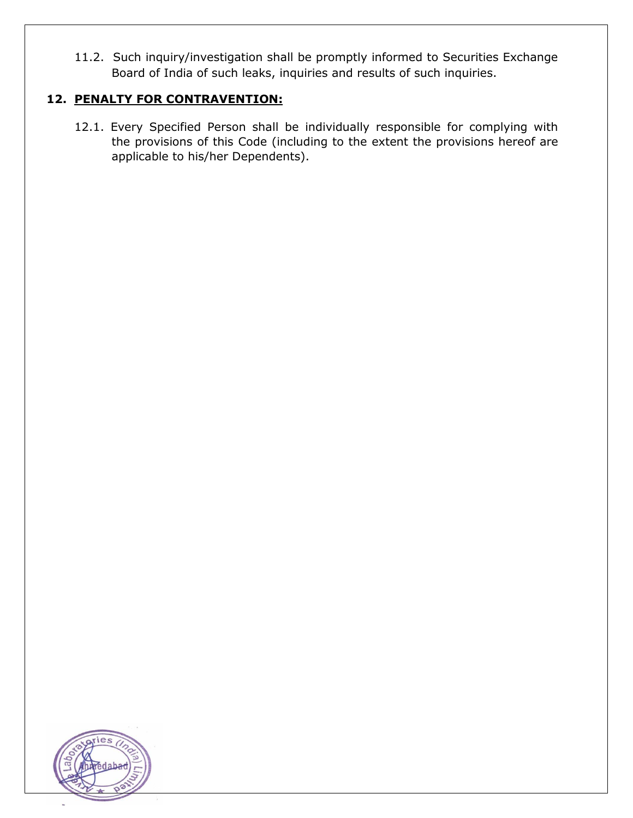11.2. Such inquiry/investigation shall be promptly informed to Securities Exchange Board of India of such leaks, inquiries and results of such inquiries.

# **12. PENALTY FOR CONTRAVENTION:**

12.1. Every Specified Person shall be individually responsible for complying with the provisions of this Code (including to the extent the provisions hereof are applicable to his/her Dependents).

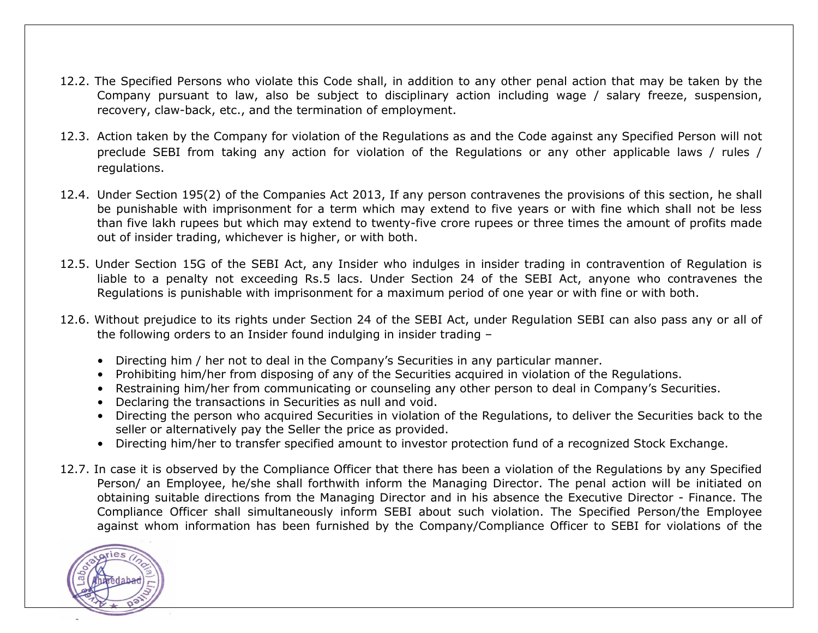- 12.2. The Specified Persons who violate this Code shall, in addition to any other penal action that may be taken by the Company pursuant to law, also be subject to disciplinary action including wage / salary freeze, suspension, recovery, claw-back, etc., and the termination of employment.
- 12.3. Action taken by the Company for violation of the Regulations as and the Code against any Specified Person will not preclude SEBI from taking any action for violation of the Regulations or any other applicable laws / rules / regulations.
- 12.4. Under Section 195(2) of the Companies Act 2013, If any person contravenes the provisions of this section, he shall be punishable with imprisonment for a term which may extend to five years or with fine which shall not be less than five lakh rupees but which may extend to twenty-five crore rupees or three times the amount of profits made out of insider trading, whichever is higher, or with both.
- 12.5. Under Section 15G of the SEBI Act, any Insider who indulges in insider trading in contravention of Regulation is liable to a penalty not exceeding Rs.5 lacs. Under Section 24 of the SEBI Act, anyone who contravenes the Regulations is punishable with imprisonment for a maximum period of one year or with fine or with both.
- 12.6. Without prejudice to its rights under Section 24 of the SEBI Act, under Regulation SEBI can also pass any or all of the following orders to an Insider found indulging in insider trading –
	- Directing him / her not to deal in the Company's Securities in any particular manner.
	- Prohibiting him/her from disposing of any of the Securities acquired in violation of the Regulations.
	- Restraining him/her from communicating or counseling any other person to deal in Company's Securities.
	- Declaring the transactions in Securities as null and void.
	- Directing the person who acquired Securities in violation of the Regulations, to deliver the Securities back to the seller or alternatively pay the Seller the price as provided.
	- Directing him/her to transfer specified amount to investor protection fund of a recognized Stock Exchange.
- 12.7. In case it is observed by the Compliance Officer that there has been a violation of the Regulations by any Specified Person/ an Employee, he/she shall forthwith inform the Managing Director. The penal action will be initiated on obtaining suitable directions from the Managing Director and in his absence the Executive Director - Finance. The Compliance Officer shall simultaneously inform SEBI about such violation. The Specified Person/the Employee against whom information has been furnished by the Company/Compliance Officer to SEBI for violations of the

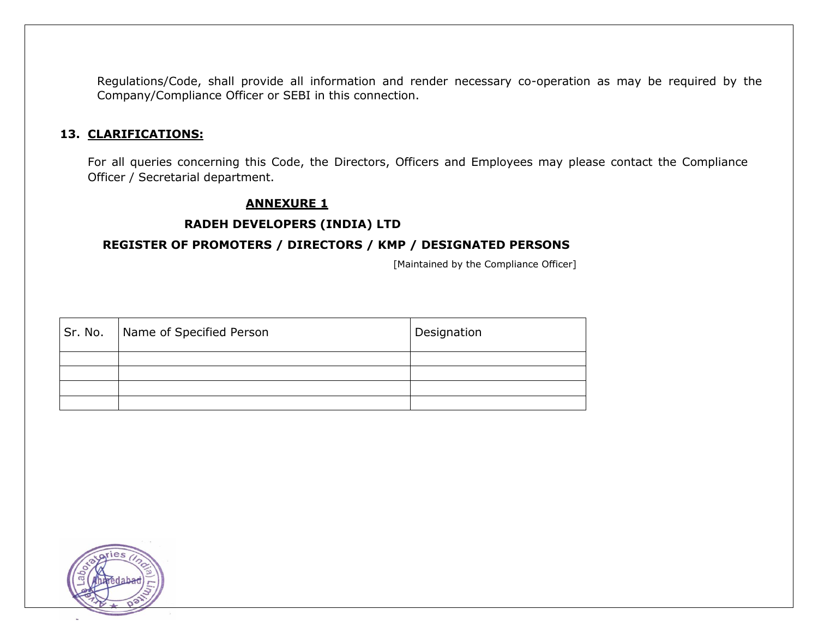Regulations/Code, shall provide all information and render necessary co-operation as may be required by the Company/Compliance Officer or SEBI in this connection.

#### **13. CLARIFICATIONS:**

For all queries concerning this Code, the Directors, Officers and Employees may please contact the Compliance Officer / Secretarial department.

#### **ANNEXURE 1**

#### **RADEH DEVELOPERS (INDIA) LTD**

#### **REGISTER OF PROMOTERS / DIRECTORS / KMP / DESIGNATED PERSONS**

[Maintained by the Compliance Officer]

| Sr. No. | Name of Specified Person | Designation |
|---------|--------------------------|-------------|
|         |                          |             |
|         |                          |             |
|         |                          |             |
|         |                          |             |

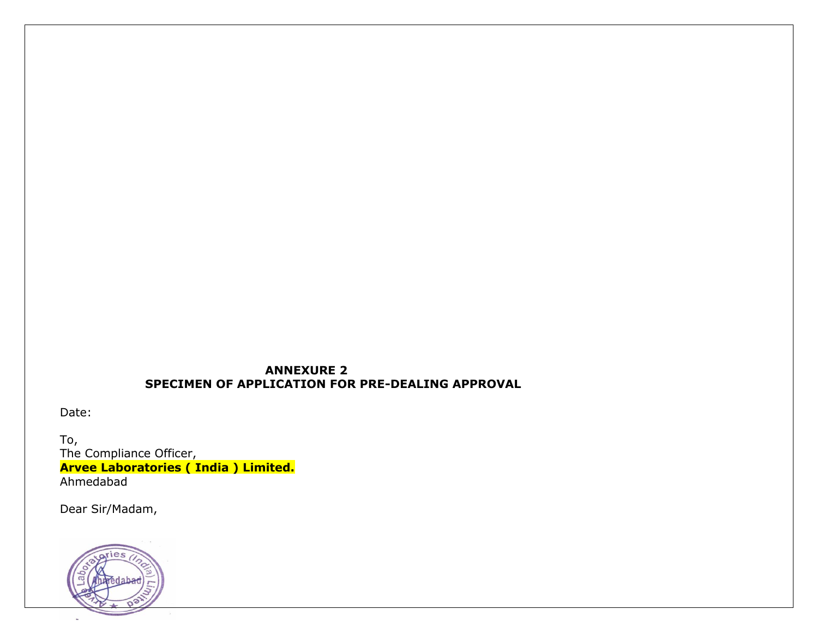### **ANNEXURE 2 SPECIMEN OF APPLICATION FOR PRE-DEALING APPROVAL**

Date:

To, The Compliance Officer, **Arvee Laboratories ( India ) Limited.** Ahmedabad

Dear Sir/Madam,

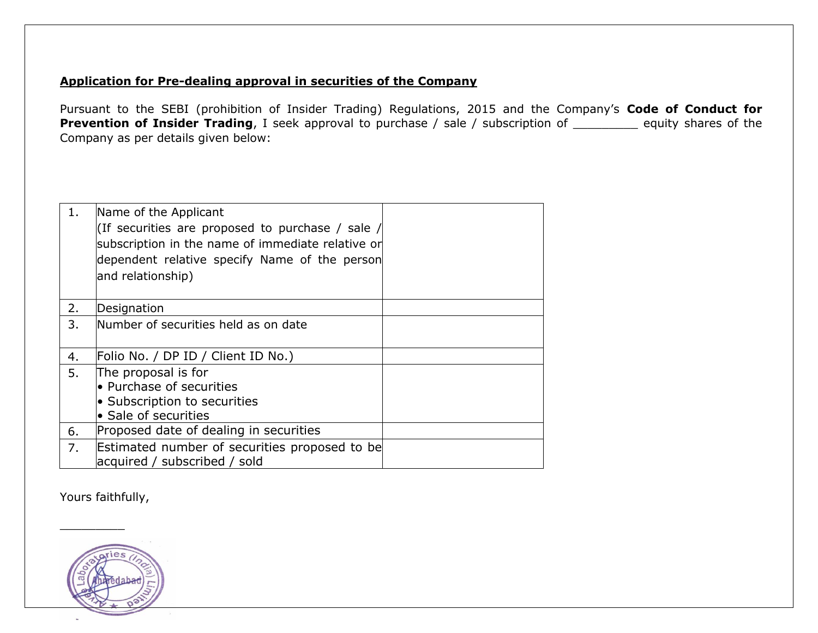## **Application for Pre-dealing approval in securities of the Company**

Pursuant to the SEBI (prohibition of Insider Trading) Regulations, 2015 and the Company's **Code of Conduct for Prevention of Insider Trading**, I seek approval to purchase / sale / subscription of \_\_\_\_\_\_\_\_ equity shares of the Company as per details given below:

| 1. | Name of the Applicant<br>(If securities are proposed to purchase / sale /<br>subscription in the name of immediate relative or<br>dependent relative specify Name of the person<br>and relationship) |  |
|----|------------------------------------------------------------------------------------------------------------------------------------------------------------------------------------------------------|--|
| 2. | Designation                                                                                                                                                                                          |  |
| 3. | Number of securities held as on date                                                                                                                                                                 |  |
| 4. | Folio No. / DP ID / Client ID No.)                                                                                                                                                                   |  |
| 5. | The proposal is for<br>$\bullet$ Purchase of securities<br>• Subscription to securities<br>• Sale of securities                                                                                      |  |
| 6. | Proposed date of dealing in securities                                                                                                                                                               |  |
| 7. | Estimated number of securities proposed to be<br>acquired / subscribed / sold                                                                                                                        |  |

Yours faithfully,

 $\overline{\phantom{a}}$ 

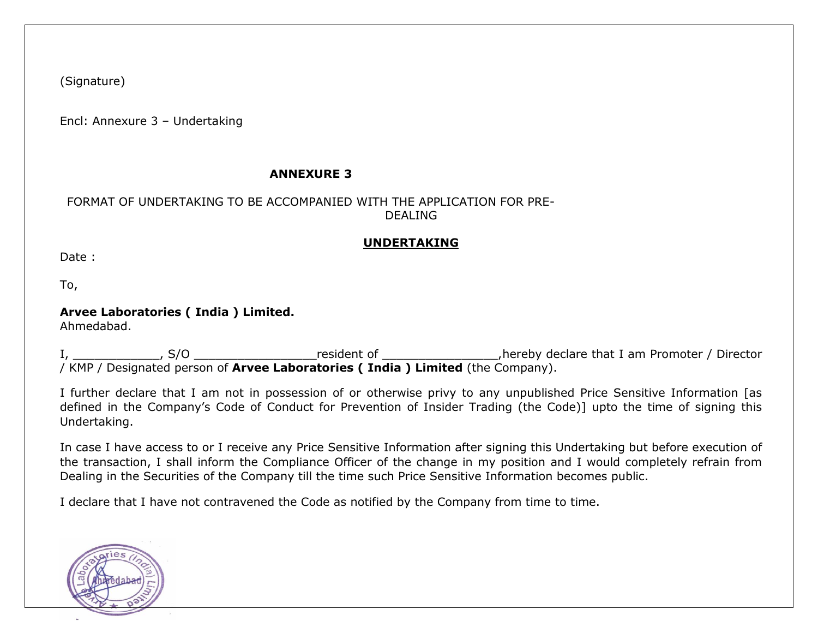(Signature)

Encl: Annexure 3 – Undertaking

## **ANNEXURE 3**

### FORMAT OF UNDERTAKING TO BE ACCOMPANIED WITH THE APPLICATION FOR PRE-DEALING

## **UNDERTAKING**

Date :

To,

# **Arvee Laboratories ( India ) Limited.**

Ahmedabad.

I, \_\_\_\_\_\_\_\_\_\_\_\_\_, S/O \_\_\_\_\_\_\_\_\_\_\_\_\_\_\_\_\_\_\_\_resident of \_\_\_\_\_\_\_\_\_\_\_\_\_\_\_\_\_\_\_,hereby declare that I am Promoter / Director / KMP / Designated person of **Arvee Laboratories ( India ) Limited** (the Company).

I further declare that I am not in possession of or otherwise privy to any unpublished Price Sensitive Information [as defined in the Company's Code of Conduct for Prevention of Insider Trading (the Code)] upto the time of signing this Undertaking.

In case I have access to or I receive any Price Sensitive Information after signing this Undertaking but before execution of the transaction, I shall inform the Compliance Officer of the change in my position and I would completely refrain from Dealing in the Securities of the Company till the time such Price Sensitive Information becomes public.

I declare that I have not contravened the Code as notified by the Company from time to time.

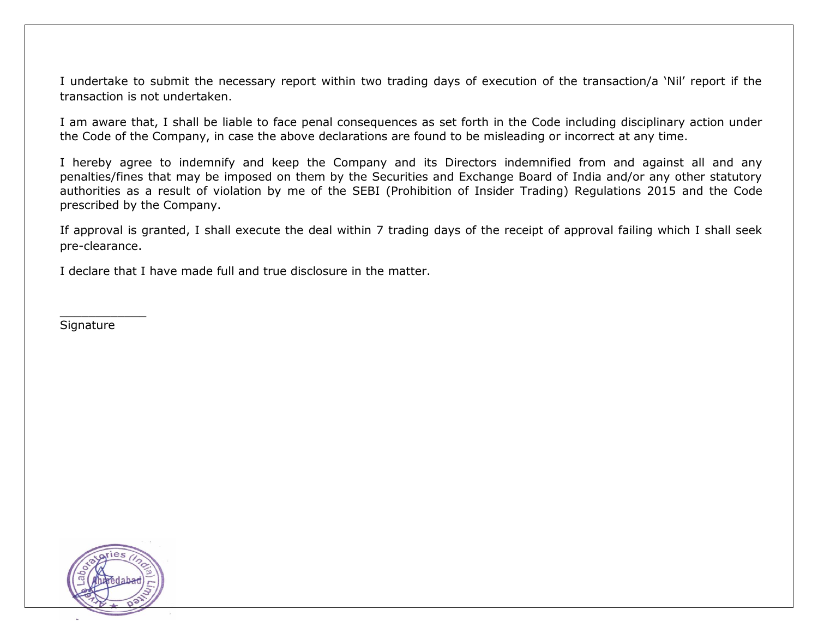I undertake to submit the necessary report within two trading days of execution of the transaction/a 'Nil' report if the transaction is not undertaken.

I am aware that, I shall be liable to face penal consequences as set forth in the Code including disciplinary action under the Code of the Company, in case the above declarations are found to be misleading or incorrect at any time.

I hereby agree to indemnify and keep the Company and its Directors indemnified from and against all and any penalties/fines that may be imposed on them by the Securities and Exchange Board of India and/or any other statutory authorities as a result of violation by me of the SEBI (Prohibition of Insider Trading) Regulations 2015 and the Code prescribed by the Company.

If approval is granted, I shall execute the deal within 7 trading days of the receipt of approval failing which I shall seek pre-clearance.

I declare that I have made full and true disclosure in the matter.

**Signature** 

 $\frac{1}{2}$ 

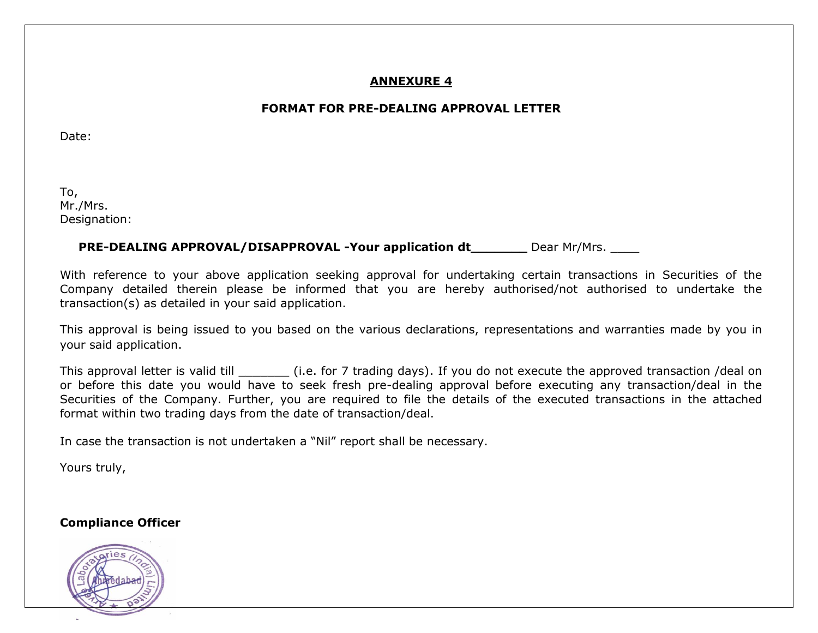## **ANNEXURE 4**

# **FORMAT FOR PRE-DEALING APPROVAL LETTER**

Date:

To, Mr./Mrs. Designation:

## **PRE-DEALING APPROVAL/DISAPPROVAL -Your application dt \_\_\_\_\_\_\_** Dear Mr/Mrs.

With reference to your above application seeking approval for undertaking certain transactions in Securities of the Company detailed therein please be informed that you are hereby authorised/not authorised to undertake the transaction(s) as detailed in your said application.

This approval is being issued to you based on the various declarations, representations and warranties made by you in your said application.

This approval letter is valid till **the sum of 1 trading days**). If you do not execute the approved transaction /deal on or before this date you would have to seek fresh pre-dealing approval before executing any transaction/deal in the Securities of the Company. Further, you are required to file the details of the executed transactions in the attached format within two trading days from the date of transaction/deal.

In case the transaction is not undertaken a "Nil" report shall be necessary.

Yours truly,

**Compliance Officer**

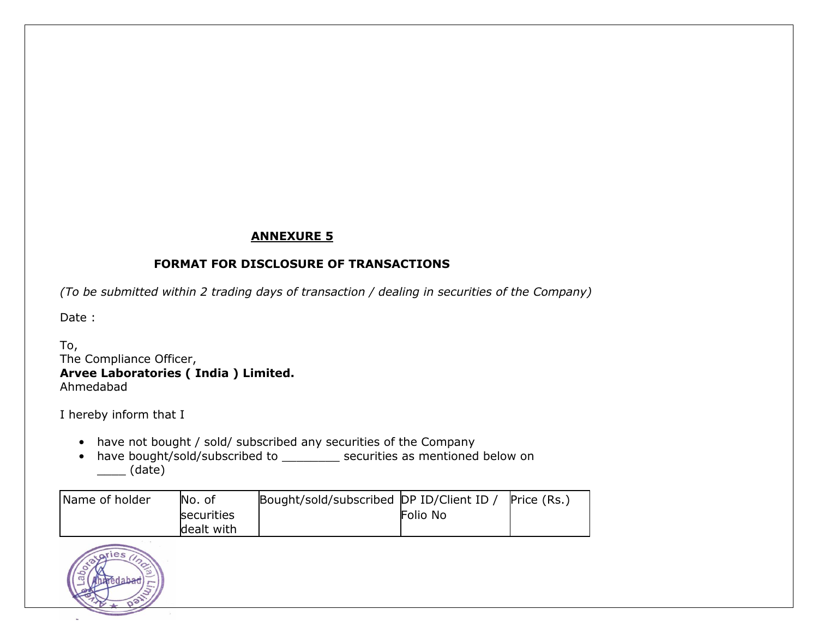# **ANNEXURE 5**

# **FORMAT FOR DISCLOSURE OF TRANSACTIONS**

*(To be submitted within 2 trading days of transaction / dealing in securities of the Company)*

Date :

To, The Compliance Officer, **Arvee Laboratories ( India ) Limited.** Ahmedabad

I hereby inform that I

- have not bought / sold/ subscribed any securities of the Company
- have bought/sold/subscribed to \_\_\_\_\_\_\_\_ securities as mentioned below on \_\_\_\_ (date)

| Name of holder | No. of     | Bought/sold/subscribed DP ID/Client ID |          | Price (Rs.) |
|----------------|------------|----------------------------------------|----------|-------------|
|                | securities |                                        | Folio No |             |
|                | dealt with |                                        |          |             |

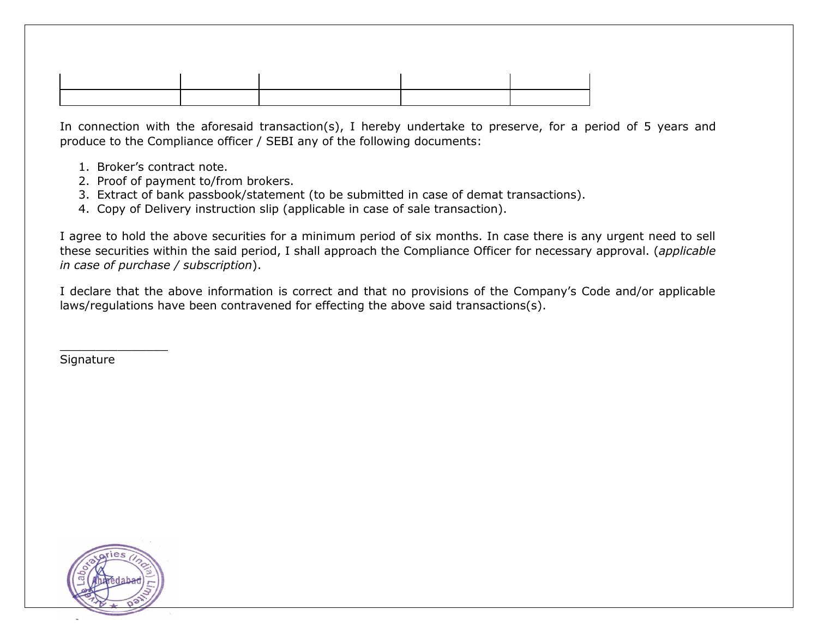In connection with the aforesaid transaction(s), I hereby undertake to preserve, for a period of 5 years and produce to the Compliance officer / SEBI any of the following documents:

- 1. Broker's contract note.
- 2. Proof of payment to/from brokers.
- 3. Extract of bank passbook/statement (to be submitted in case of demat transactions).
- 4. Copy of Delivery instruction slip (applicable in case of sale transaction).

I agree to hold the above securities for a minimum period of six months. In case there is any urgent need to sell these securities within the said period, I shall approach the Compliance Officer for necessary approval. (*applicable in case of purchase / subscription*).

I declare that the above information is correct and that no provisions of the Company's Code and/or applicable laws/regulations have been contravened for effecting the above said transactions(s).

**Signature** 

 $\overline{\phantom{a}}$  , where  $\overline{\phantom{a}}$  , where  $\overline{\phantom{a}}$  , where  $\overline{\phantom{a}}$ 

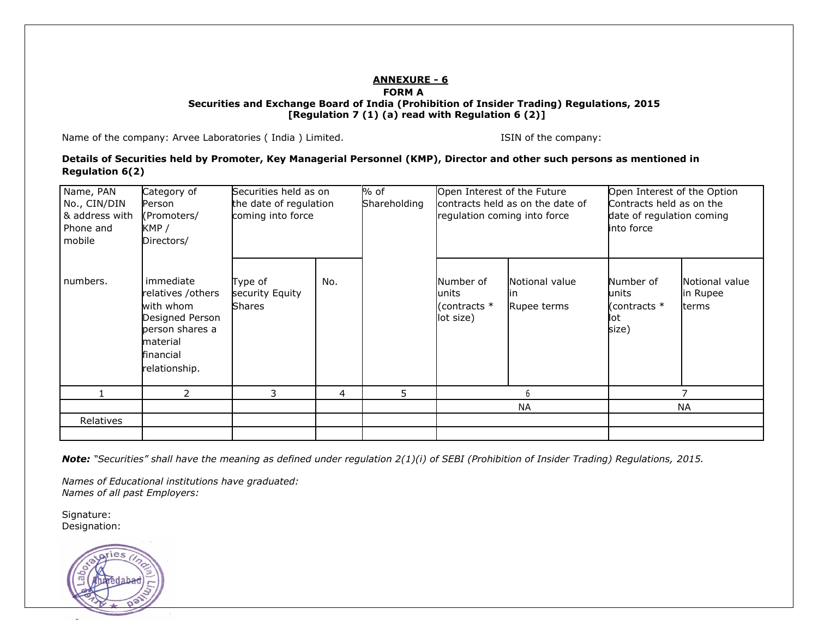#### **ANNEXURE - 6 FORM A Securities and Exchange Board of India (Prohibition of Insider Trading) Regulations, 2015 [Regulation 7 (1) (a) read with Regulation 6 (2)]**

Name of the company: Arvee Laboratories (India ) Limited. ISIN Of the company: ISIN of the company:

**Details of Securities held by Promoter, Key Managerial Personnel (KMP), Director and other such persons as mentioned in Regulation 6(2)**

| Name, PAN<br>No., CIN/DIN<br>& address with<br>Phone and<br>mobile | Category of<br>Person<br>(Promoters/<br>KMP /<br>Directors/                                                                 | Securities held as on<br>the date of regulation<br>coming into force |     |   |                                                    | % of<br>Shareholding                 | Open Interest of the Future<br>regulation coming into force | contracts held as on the date of           | Open Interest of the Option<br>Contracts held as on the<br>date of regulation coming<br>into force |  |  |
|--------------------------------------------------------------------|-----------------------------------------------------------------------------------------------------------------------------|----------------------------------------------------------------------|-----|---|----------------------------------------------------|--------------------------------------|-------------------------------------------------------------|--------------------------------------------|----------------------------------------------------------------------------------------------------|--|--|
| numbers.                                                           | immediate<br>relatives /others<br>with whom<br>Designed Person<br>person shares a<br>material<br>financial<br>relationship. | Type of<br>security Equity<br><b>Shares</b>                          | No. |   | Number of<br>lunits<br>(contracts $*$<br>lot size) | Notional value<br>lın<br>Rupee terms | Number of<br>units<br>(contracts *<br>lot<br>size)          | Notional value<br>in Rupee<br><b>terms</b> |                                                                                                    |  |  |
|                                                                    | $\mathcal{P}$                                                                                                               | 3                                                                    | 4   | 5 |                                                    |                                      |                                                             |                                            |                                                                                                    |  |  |
|                                                                    |                                                                                                                             |                                                                      |     |   |                                                    | <b>NA</b>                            |                                                             | <b>NA</b>                                  |                                                                                                    |  |  |
| Relatives                                                          |                                                                                                                             |                                                                      |     |   |                                                    |                                      |                                                             |                                            |                                                                                                    |  |  |
|                                                                    |                                                                                                                             |                                                                      |     |   |                                                    |                                      |                                                             |                                            |                                                                                                    |  |  |

*Note: "Securities" shall have the meaning as defined under regulation 2(1)(i) of SEBI (Prohibition of Insider Trading) Regulations, 2015.*

*Names of Educational institutions have graduated: Names of all past Employers:*

Signature: Designation:

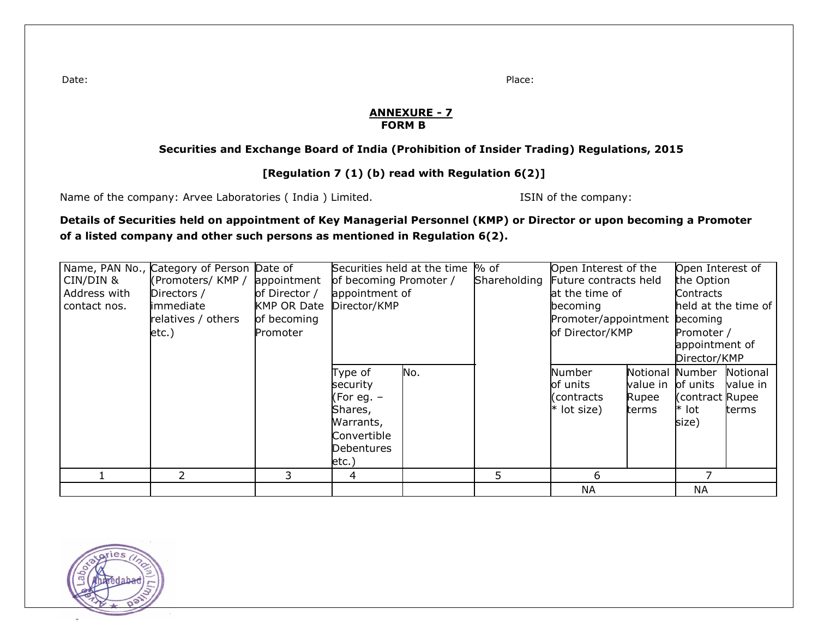Date: Place:

#### **ANNEXURE - 7 FORM B**

#### **Securities and Exchange Board of India (Prohibition of Insider Trading) Regulations, 2015**

## **[Regulation 7 (1) (b) read with Regulation 6(2)]**

Name of the company: Arvee Laboratories (India ) Limited. ISIN 06 the company:

#### **Details of Securities held on appointment of Key Managerial Personnel (KMP) or Director or upon becoming a Promoter of a listed company and other such persons as mentioned in Regulation 6(2).**

| CIN/DIN &<br>Address with<br>contact nos. | Name, PAN No., Category of Person Date of<br>(Promoters/ KMP /<br>Directors /<br><b>limmediate</b><br>relatives / others<br>$etc.$ ) | appointment<br>of Director /<br><b>KMP OR Date</b><br>of becoming<br>Promoter | Securities held at the time % of<br>of becoming Promoter /<br>appointment of<br>Director/KMP       |     | Shareholding | Open Interest of the<br>Future contracts held<br>at the time of<br>becoming<br>Promoter/appointment becoming<br>of Director/KMP |                                        | Open Interest of<br>the Option<br>Contracts<br>held at the time of<br>Promoter / |                               |
|-------------------------------------------|--------------------------------------------------------------------------------------------------------------------------------------|-------------------------------------------------------------------------------|----------------------------------------------------------------------------------------------------|-----|--------------|---------------------------------------------------------------------------------------------------------------------------------|----------------------------------------|----------------------------------------------------------------------------------|-------------------------------|
|                                           |                                                                                                                                      |                                                                               |                                                                                                    |     |              |                                                                                                                                 |                                        | appointment of<br>Director/KMP                                                   |                               |
|                                           |                                                                                                                                      |                                                                               | Type of<br>security<br>(For eg. –<br>Shares,<br>Warrants,<br>Convertible<br>Debentures<br>$etc.$ ) | No. |              | Number<br>of units<br>(contracts<br>* lot size)                                                                                 | Notional<br>value in<br>Rupee<br>terms | Number<br>of units<br>Contract Rupee<br>* lot<br>size)                           | Notional<br>value in<br>terms |
|                                           |                                                                                                                                      | 3.                                                                            | 4                                                                                                  |     | 5            | 6                                                                                                                               |                                        |                                                                                  |                               |
|                                           |                                                                                                                                      |                                                                               |                                                                                                    |     |              | <b>NA</b>                                                                                                                       |                                        | <b>NA</b>                                                                        |                               |

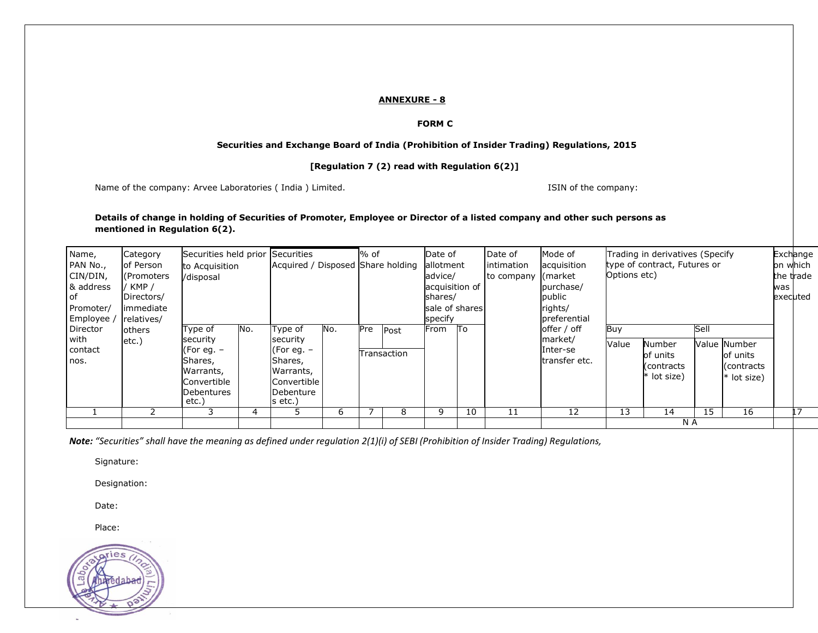#### **ANNEXURE - 8**

#### **FORM C**

#### **Securities and Exchange Board of India (Prohibition of Insider Trading) Regulations, 2015**

#### **[Regulation 7 (2) read with Regulation 6(2)]**

Name of the company: Arvee Laboratories (India) Limited. ISIN of the company: ISIN of the company:

#### **Details of change in holding of Securities of Promoter, Employee or Director of a listed company and other such persons as mentioned in Regulation 6(2).**

| Name,<br>PAN No.,<br>CIN/DIN,<br>& address<br>l of<br>Promoter/ | Category<br>of Person<br>l (Promoters<br>' KMP /<br>Directors/<br>immediate | Securities held prior Securities<br>to Acquisition<br>/disposal                                 |     | Acquired / Disposed Share holding                                                                      |     | % of |                     | Date of<br>allotment<br>advice/<br>acquisition of<br>shares/<br>sale of shares |    | Date of<br>lintimation<br>to company | Mode of<br>acquisition<br>(market<br>purchase/<br>public<br>rights/ | Options etc) | Trading in derivatives (Specify<br>type of contract, Futures or |      |                                                        | was | Exchange<br>on which<br>the trade<br>executed |
|-----------------------------------------------------------------|-----------------------------------------------------------------------------|-------------------------------------------------------------------------------------------------|-----|--------------------------------------------------------------------------------------------------------|-----|------|---------------------|--------------------------------------------------------------------------------|----|--------------------------------------|---------------------------------------------------------------------|--------------|-----------------------------------------------------------------|------|--------------------------------------------------------|-----|-----------------------------------------------|
| Employee /<br>Director<br>with<br>contact<br>nos.               | relatives/<br>others<br>$etc.$ )                                            | Type of<br>security<br>(For eg. –<br>Shares,<br>Warrants,<br>Convertible<br>Debentures<br>etc.) | No. | Type of<br>security<br>(For eq. $-$<br>Shares,<br>Warrants,<br>Convertible I<br>Debenture<br>$s$ etc.) | No. | Pre  | Post<br>Transaction | specify<br>From                                                                | To |                                      | preferential<br>offer / off<br>market/<br>Inter-se<br>transfer etc. | Buy<br>Value | Number<br>of units<br>(contracts<br>* lot size)                 | Sell | Value Number<br>of units<br>(contracts)<br>* lot size) |     |                                               |
|                                                                 |                                                                             |                                                                                                 |     |                                                                                                        | b   |      | 8                   | 9                                                                              | 10 | 11                                   | 12                                                                  | 13           | 14                                                              | 15   | 16                                                     |     |                                               |
|                                                                 |                                                                             |                                                                                                 |     |                                                                                                        |     |      |                     |                                                                                |    |                                      |                                                                     |              | N A                                                             |      |                                                        |     |                                               |

Note: "Securities" shall have the meaning as defined under regulation 2(1)(i) of SEBI (Prohibition of Insider Trading) Regulations,

Signature:

Designation:

Date:

Place:

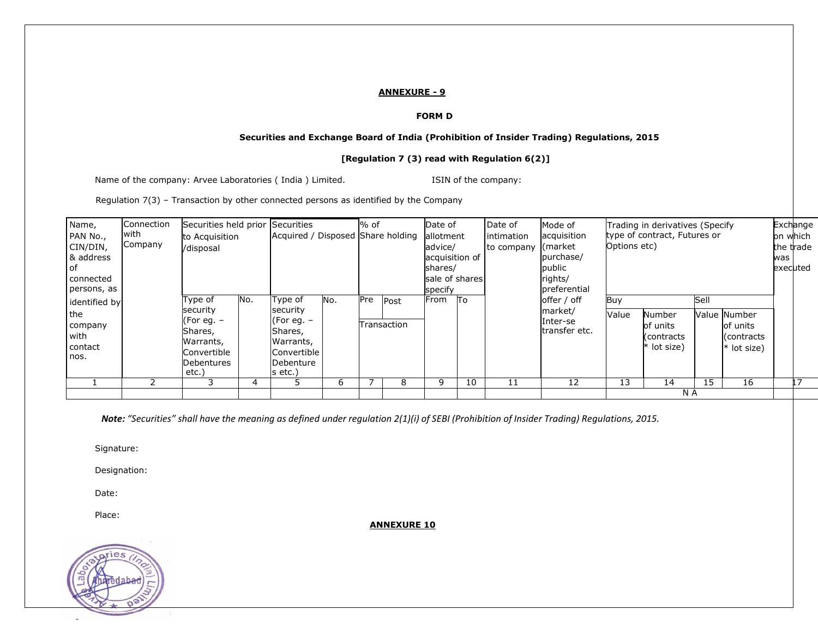#### **ANNEXURE - 9**

#### **FORM D**

#### **Securities and Exchange Board of India (Prohibition of Insider Trading) Regulations, 2015**

#### **[Regulation 7 (3) read with Regulation 6(2)]**

Name of the company: Arvee Laboratories (India) Limited. ISIN of the company:

Regulation 7(3) – Transaction by other connected persons as identified by the Company

| Name,                                     | Connection      | Securities held prior Securities                                                       |     |                                                                                                |     | % of |             | Date of                                |    | Date of                  | Mode of                              |              | Trading in derivatives (Specify                 |      |                                                        |     | Exchange              |
|-------------------------------------------|-----------------|----------------------------------------------------------------------------------------|-----|------------------------------------------------------------------------------------------------|-----|------|-------------|----------------------------------------|----|--------------------------|--------------------------------------|--------------|-------------------------------------------------|------|--------------------------------------------------------|-----|-----------------------|
| PAN No.,<br>CIN/DIN,<br>& address         | with<br>Company | to Acquisition<br>/disposal                                                            |     | Acquired / Disposed Share holding                                                              |     |      |             | allotment<br>advice/<br>acquisition of |    | intimation<br>to company | acquisition<br>(market)<br>purchase/ | Options etc) | type of contract, Futures or                    |      |                                                        | was | on which<br>the trade |
| оf<br>connected<br>persons, as            |                 |                                                                                        |     |                                                                                                |     |      |             | shares/<br>sale of shares<br>specify   |    |                          | public<br>rights/<br>preferential    |              |                                                 |      |                                                        |     | executed              |
| identified by                             |                 | Type of                                                                                | No. | Type of                                                                                        | No. | Pre  | Post        | From                                   | Πo |                          | offer / off                          | Buy          |                                                 | Sell |                                                        |     |                       |
| the<br>company<br>with<br>contact<br>nos. |                 | security<br>(For eg. $-$<br>Shares,<br>Warrants,<br>Convertible<br>Debentures<br>etc.) |     | security<br>(For eq. $-$<br>Shares,<br>Warrants,<br> Convertible  <br>Debenture<br>$ s $ etc.) |     |      | Transaction |                                        |    |                          | market/<br>Inter-se<br>transfer etc. | Value        | Number<br>of units<br>contracts)<br>* lot size) |      | Value Number<br>of units<br>(contracts)<br>* lot size) |     |                       |
|                                           |                 | 3                                                                                      | 4   |                                                                                                | 6   |      | 8           | 9                                      | 10 | 11                       | 12                                   | 13           | 14                                              | 15   | 16                                                     |     |                       |
|                                           |                 |                                                                                        |     |                                                                                                |     |      |             |                                        |    |                          |                                      |              | N A                                             |      |                                                        |     |                       |

Note: "Securities" shall have the meaning as defined under regulation 2(1)(i) of SEBI (Prohibition of Insider Trading) Regulations, 2015.

Signature:

Designation:

Date:

Place:

**ANNEXURE 10**

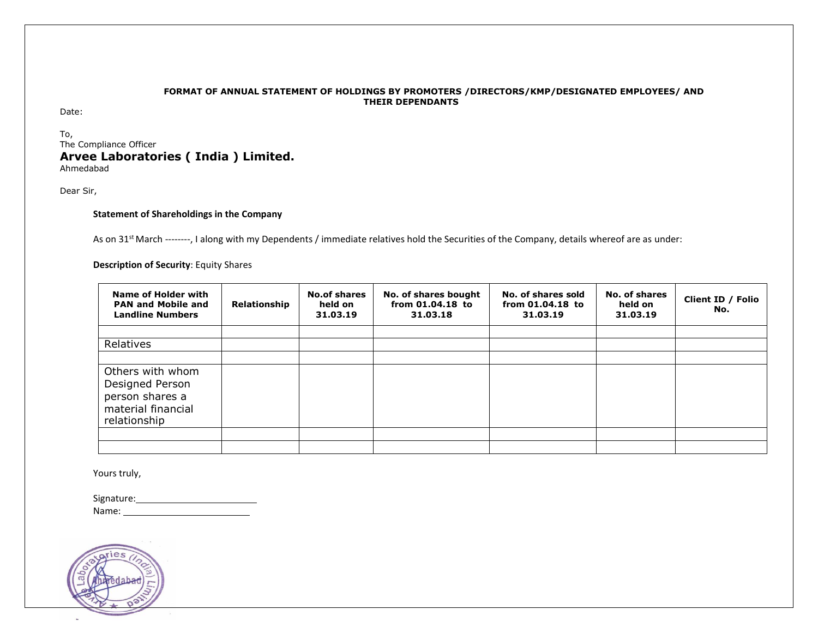#### **FORMAT OF ANNUAL STATEMENT OF HOLDINGS BY PROMOTERS /DIRECTORS/KMP/DESIGNATED EMPLOYEES/ AND THEIR DEPENDANTS**

Date:

To, The Compliance Officer **Arvee Laboratories ( India ) Limited.** Ahmedabad

Dear Sir,

#### **Statement of Shareholdings in the Company**

As on 31<sup>st</sup> March --------, I along with my Dependents / immediate relatives hold the Securities of the Company, details whereof are as under:

**Description of Security**: Equity Shares

| Name of Holder with<br><b>PAN and Mobile and</b><br><b>Landline Numbers</b>                  | Relationship | <b>No.of shares</b><br>held on<br>31.03.19 | No. of shares bought<br>from 01.04.18 to<br>31.03.18 | No. of shares sold<br>from 01.04.18 to<br>31.03.19 | No. of shares<br>held on<br>31.03.19 | Client ID / Folio<br>No. |
|----------------------------------------------------------------------------------------------|--------------|--------------------------------------------|------------------------------------------------------|----------------------------------------------------|--------------------------------------|--------------------------|
| Relatives                                                                                    |              |                                            |                                                      |                                                    |                                      |                          |
| Others with whom<br>Designed Person<br>person shares a<br>material financial<br>relationship |              |                                            |                                                      |                                                    |                                      |                          |
|                                                                                              |              |                                            |                                                      |                                                    |                                      |                          |

Yours truly,

Signature: Name:

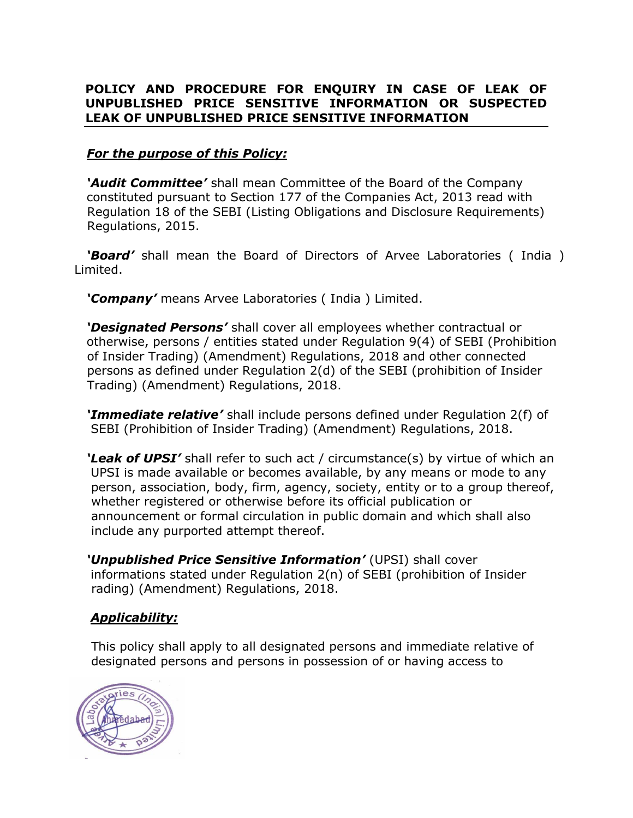# **POLICY AND PROCEDURE FOR ENQUIRY IN CASE OF LEAK OF UNPUBLISHED PRICE SENSITIVE INFORMATION OR SUSPECTED LEAK OF UNPUBLISHED PRICE SENSITIVE INFORMATION**

# *For the purpose of this Policy:*

 *'Audit Committee'* shall mean Committee of the Board of the Company constituted pursuant to Section 177 of the Companies Act, 2013 read with Regulation 18 of the SEBI (Listing Obligations and Disclosure Requirements) Regulations, 2015.

 *'Board'* shall mean the Board of Directors of Arvee Laboratories ( India ) Limited.

 *'Company'* means Arvee Laboratories ( India ) Limited.

 *'Designated Persons'* shall cover all employees whether contractual or otherwise, persons / entities stated under Regulation 9(4) of SEBI (Prohibition of Insider Trading) (Amendment) Regulations, 2018 and other connected persons as defined under Regulation 2(d) of the SEBI (prohibition of Insider Trading) (Amendment) Regulations, 2018.

 *'Immediate relative'* shall include persons defined under Regulation 2(f) of SEBI (Prohibition of Insider Trading) (Amendment) Regulations, 2018.

 *'Leak of UPSI'* shall refer to such act / circumstance(s) by virtue of which an UPSI is made available or becomes available, by any means or mode to any person, association, body, firm, agency, society, entity or to a group thereof, whether registered or otherwise before its official publication or announcement or formal circulation in public domain and which shall also include any purported attempt thereof.

 *'Unpublished Price Sensitive Information'* (UPSI) shall cover informations stated under Regulation 2(n) of SEBI (prohibition of Insider rading) (Amendment) Regulations, 2018.

# *Applicability:*

 This policy shall apply to all designated persons and immediate relative of designated persons and persons in possession of or having access to

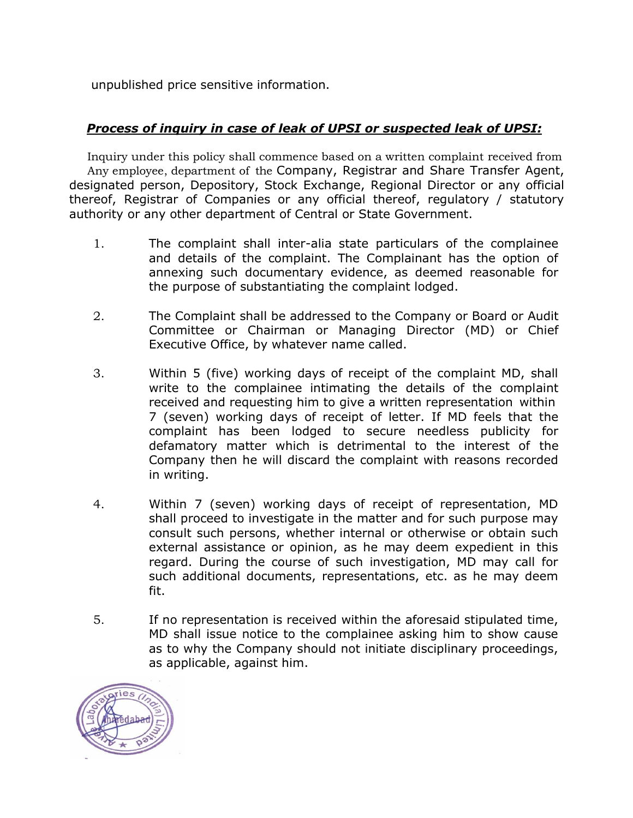unpublished price sensitive information.

# *Process of inquiry in case of leak of UPSI or suspected leak of UPSI:*

 Inquiry under this policy shall commence based on a written complaint received from Any employee, department of the Company, Registrar and Share Transfer Agent, designated person, Depository, Stock Exchange, Regional Director or any official thereof, Registrar of Companies or any official thereof, regulatory / statutory authority or any other department of Central or State Government.

- 1. The complaint shall inter-alia state particulars of the complainee and details of the complaint. The Complainant has the option of annexing such documentary evidence, as deemed reasonable for the purpose of substantiating the complaint lodged.
- 2. The Complaint shall be addressed to the Company or Board or Audit Committee or Chairman or Managing Director (MD) or Chief Executive Office, by whatever name called.
- 3. Within 5 (five) working days of receipt of the complaint MD, shall write to the complainee intimating the details of the complaint received and requesting him to give a written representation within 7 (seven) working days of receipt of letter. If MD feels that the complaint has been lodged to secure needless publicity for defamatory matter which is detrimental to the interest of the Company then he will discard the complaint with reasons recorded in writing.
- 4. Within 7 (seven) working days of receipt of representation, MD shall proceed to investigate in the matter and for such purpose may consult such persons, whether internal or otherwise or obtain such external assistance or opinion, as he may deem expedient in this regard. During the course of such investigation, MD may call for such additional documents, representations, etc. as he may deem fit.
- 5. If no representation is received within the aforesaid stipulated time, MD shall issue notice to the complainee asking him to show cause as to why the Company should not initiate disciplinary proceedings, as applicable, against him.

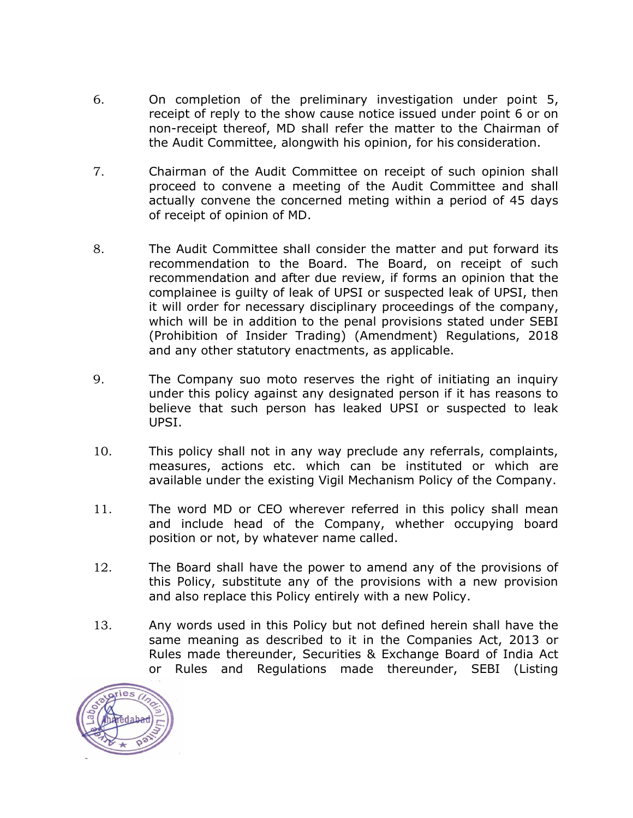- 6. On completion of the preliminary investigation under point 5, receipt of reply to the show cause notice issued under point 6 or on non-receipt thereof, MD shall refer the matter to the Chairman of the Audit Committee, alongwith his opinion, for his consideration.
- 7. Chairman of the Audit Committee on receipt of such opinion shall proceed to convene a meeting of the Audit Committee and shall actually convene the concerned meting within a period of 45 days of receipt of opinion of MD.
- 8. The Audit Committee shall consider the matter and put forward its recommendation to the Board. The Board, on receipt of such recommendation and after due review, if forms an opinion that the complainee is guilty of leak of UPSI or suspected leak of UPSI, then it will order for necessary disciplinary proceedings of the company, which will be in addition to the penal provisions stated under SEBI (Prohibition of Insider Trading) (Amendment) Regulations, 2018 and any other statutory enactments, as applicable.
- 9. The Company suo moto reserves the right of initiating an inquiry under this policy against any designated person if it has reasons to believe that such person has leaked UPSI or suspected to leak UPSI.
- 10. This policy shall not in any way preclude any referrals, complaints, measures, actions etc. which can be instituted or which are available under the existing Vigil Mechanism Policy of the Company.
- 11. The word MD or CEO wherever referred in this policy shall mean and include head of the Company, whether occupying board position or not, by whatever name called.
- 12. The Board shall have the power to amend any of the provisions of this Policy, substitute any of the provisions with a new provision and also replace this Policy entirely with a new Policy.
- 13. Any words used in this Policy but not defined herein shall have the same meaning as described to it in the Companies Act, 2013 or Rules made thereunder, Securities & Exchange Board of India Act or Rules and Regulations made thereunder, SEBI (Listing

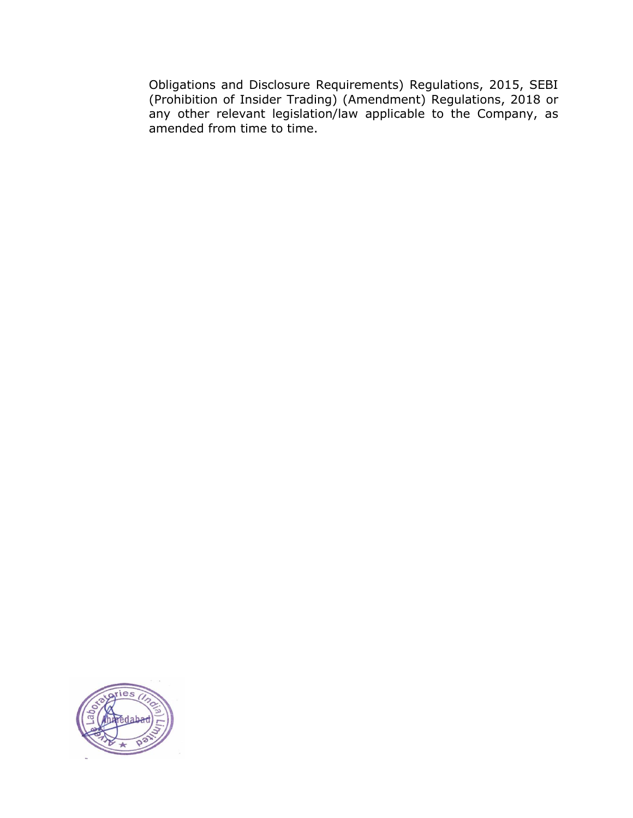Obligations and Disclosure Requirements) Regulations, 2015, SEBI (Prohibition of Insider Trading) (Amendment) Regulations, 2018 or any other relevant legislation/law applicable to the Company, as amended from time to time.

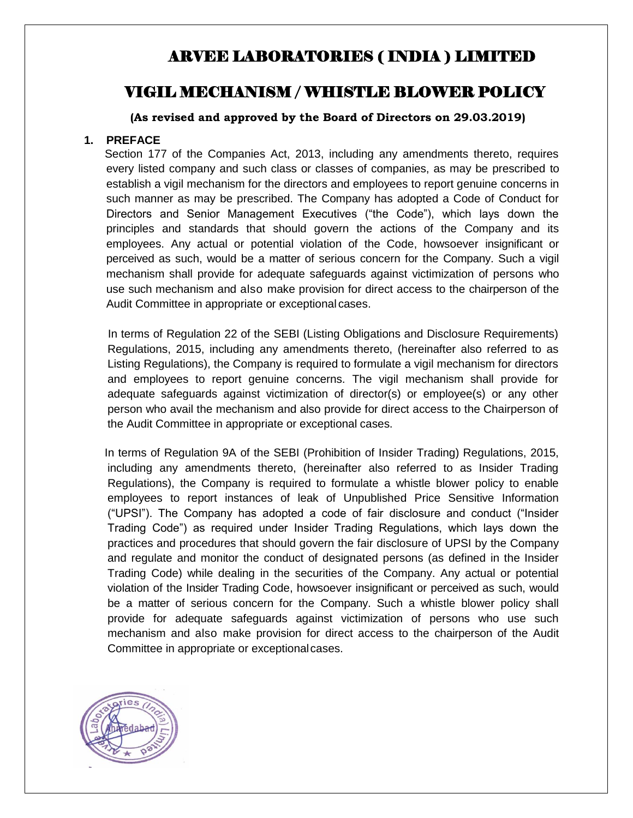# ARVEE LABORATORIES ( INDIA ) LIMITED

# VIGIL MECHANISM / WHISTLE BLOWER POLICY

**(As revised and approved by the Board of Directors on 29.03.2019)**

#### **1. PREFACE**

 Section 177 of the Companies Act, 2013, including any amendments thereto, requires every listed company and such class or classes of companies, as may be prescribed to establish a vigil mechanism for the directors and employees to report genuine concerns in such manner as may be prescribed. The Company has adopted a Code of Conduct for Directors and Senior Management Executives ("the Code"), which lays down the principles and standards that should govern the actions of the Company and its employees. Any actual or potential violation of the Code, howsoever insignificant or perceived as such, would be a matter of serious concern for the Company. Such a vigil mechanism shall provide for adequate safeguards against victimization of persons who use such mechanism and also make provision for direct access to the chairperson of the Audit Committee in appropriate or exceptional cases.

 In terms of Regulation 22 of the SEBI (Listing Obligations and Disclosure Requirements) Regulations, 2015, including any amendments thereto, (hereinafter also referred to as Listing Regulations), the Company is required to formulate a vigil mechanism for directors and employees to report genuine concerns. The vigil mechanism shall provide for adequate safeguards against victimization of director(s) or employee(s) or any other person who avail the mechanism and also provide for direct access to the Chairperson of the Audit Committee in appropriate or exceptional cases.

 In terms of Regulation 9A of the SEBI (Prohibition of Insider Trading) Regulations, 2015, including any amendments thereto, (hereinafter also referred to as Insider Trading Regulations), the Company is required to formulate a whistle blower policy to enable employees to report instances of leak of Unpublished Price Sensitive Information ("UPSI"). The Company has adopted a code of fair disclosure and conduct ("Insider Trading Code") as required under Insider Trading Regulations, which lays down the practices and procedures that should govern the fair disclosure of UPSI by the Company and regulate and monitor the conduct of designated persons (as defined in the Insider Trading Code) while dealing in the securities of the Company. Any actual or potential violation of the Insider Trading Code, howsoever insignificant or perceived as such, would be a matter of serious concern for the Company. Such a whistle blower policy shall provide for adequate safeguards against victimization of persons who use such mechanism and also make provision for direct access to the chairperson of the Audit Committee in appropriate or exceptionalcases.

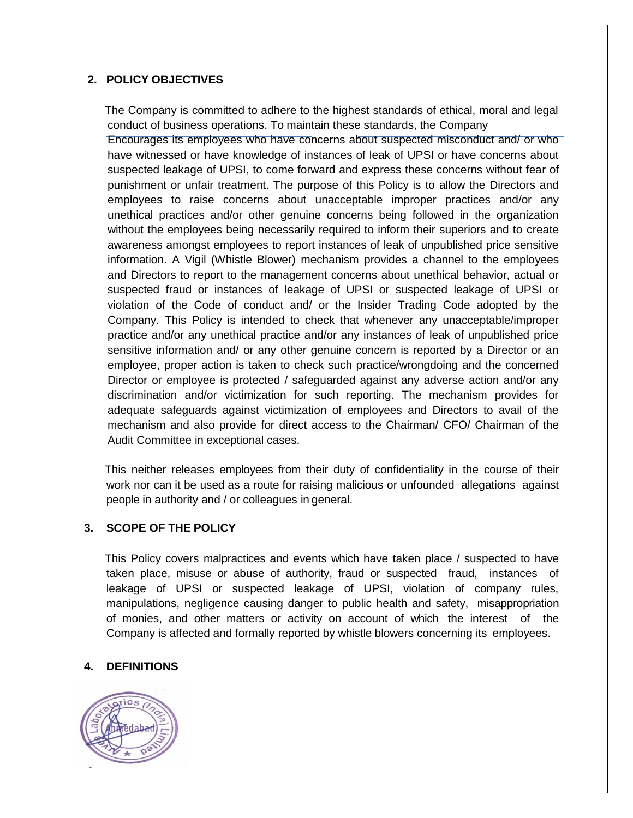### **2. POLICY OBJECTIVES**

 The Company is committed to adhere to the highest standards of ethical, moral and legal conduct of business operations. To maintain these standards, the Company

Encourages its employees who have concerns about suspected misconduct and/ or who have witnessed or have knowledge of instances of leak of UPSI or have concerns about suspected leakage of UPSI, to come forward and express these concerns without fear of punishment or unfair treatment. The purpose of this Policy is to allow the Directors and employees to raise concerns about unacceptable improper practices and/or any unethical practices and/or other genuine concerns being followed in the organization without the employees being necessarily required to inform their superiors and to create awareness amongst employees to report instances of leak of unpublished price sensitive information. A Vigil (Whistle Blower) mechanism provides a channel to the employees and Directors to report to the management concerns about unethical behavior, actual or suspected fraud or instances of leakage of UPSI or suspected leakage of UPSI or violation of the Code of conduct and/ or the Insider Trading Code adopted by the Company. This Policy is intended to check that whenever any unacceptable/improper practice and/or any unethical practice and/or any instances of leak of unpublished price sensitive information and/ or any other genuine concern is reported by a Director or an employee, proper action is taken to check such practice/wrongdoing and the concerned Director or employee is protected / safeguarded against any adverse action and/or any discrimination and/or victimization for such reporting. The mechanism provides for adequate safeguards against victimization of employees and Directors to avail of the mechanism and also provide for direct access to the Chairman/ CFO/ Chairman of the Audit Committee in exceptional cases.

 This neither releases employees from their duty of confidentiality in the course of their work nor can it be used as a route for raising malicious or unfounded allegations against people in authority and / or colleagues in general.

#### **3. SCOPE OF THE POLICY**

 This Policy covers malpractices and events which have taken place / suspected to have taken place, misuse or abuse of authority, fraud or suspected fraud, instances of leakage of UPSI or suspected leakage of UPSI, violation of company rules, manipulations, negligence causing danger to public health and safety, misappropriation of monies, and other matters or activity on account of which the interest of the Company is affected and formally reported by whistle blowers concerning its employees.

### **4. DEFINITIONS**

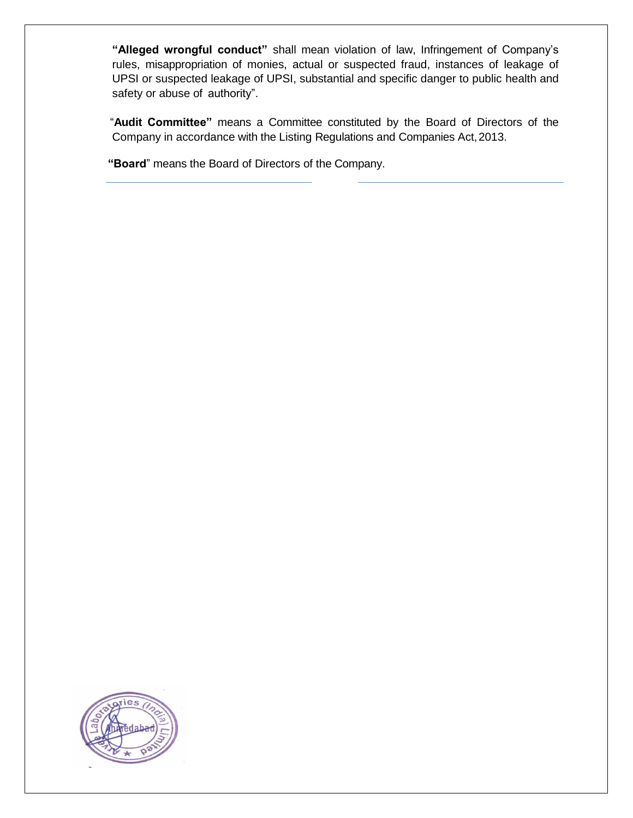**"Alleged wrongful conduct"** shall mean violation of law, Infringement of Company's rules, misappropriation of monies, actual or suspected fraud, instances of leakage of UPSI or suspected leakage of UPSI, substantial and specific danger to public health and safety or abuse of authority".

 "**Audit Committee"** means a Committee constituted by the Board of Directors of the Company in accordance with the Listing Regulations and Companies Act,2013.

 **"Board**" means the Board of Directors of the Company.

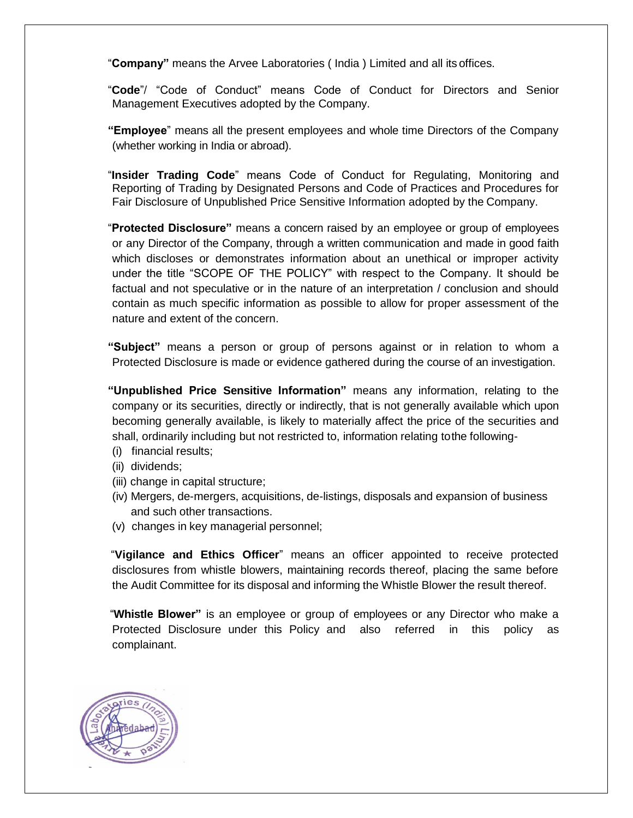"**Company"** means the Arvee Laboratories ( India ) Limited and all its offices.

 "**Code**"/ "Code of Conduct" means Code of Conduct for Directors and Senior Management Executives adopted by the Company.

 **"Employee**" means all the present employees and whole time Directors of the Company (whether working in India or abroad).

 "**Insider Trading Code**" means Code of Conduct for Regulating, Monitoring and Reporting of Trading by Designated Persons and Code of Practices and Procedures for Fair Disclosure of Unpublished Price Sensitive Information adopted by the Company.

 "**Protected Disclosure"** means a concern raised by an employee or group of employees or any Director of the Company, through a written communication and made in good faith which discloses or demonstrates information about an unethical or improper activity under the title "SCOPE OF THE POLICY" with respect to the Company. It should be factual and not speculative or in the nature of an interpretation / conclusion and should contain as much specific information as possible to allow for proper assessment of the nature and extent of the concern.

 **"Subject"** means a person or group of persons against or in relation to whom a Protected Disclosure is made or evidence gathered during the course of an investigation.

 **"Unpublished Price Sensitive Information"** means any information, relating to the company or its securities, directly or indirectly, that is not generally available which upon becoming generally available, is likely to materially affect the price of the securities and shall, ordinarily including but not restricted to, information relating tothe following-

- (i) financial results;
- (ii) dividends;
- (iii) change in capital structure;
- (iv) Mergers, de-mergers, acquisitions, de-listings, disposals and expansion of business and such other transactions.
- (v) changes in key managerial personnel;

 "**Vigilance and Ethics Officer**" means an officer appointed to receive protected disclosures from whistle blowers, maintaining records thereof, placing the same before the Audit Committee for its disposal and informing the Whistle Blower the result thereof.

 "**Whistle Blower"** is an employee or group of employees or any Director who make a Protected Disclosure under this Policy and also referred in this policy as complainant.

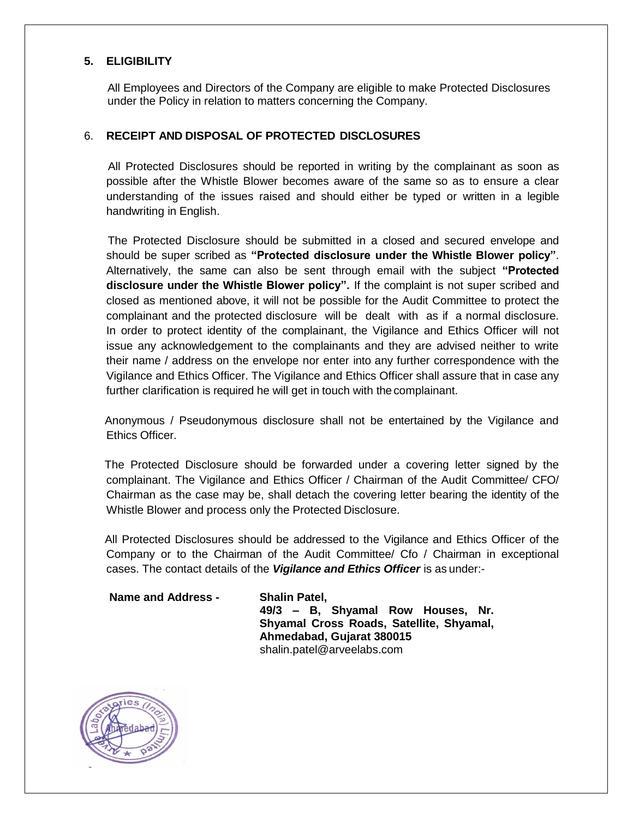#### **5. ELIGIBILITY**

All Employees and Directors of the Company are eligible to make Protected Disclosures under the Policy in relation to matters concerning the Company.

#### 6. **RECEIPT AND DISPOSAL OF PROTECTED DISCLOSURES**

 All Protected Disclosures should be reported in writing by the complainant as soon as possible after the Whistle Blower becomes aware of the same so as to ensure a clear understanding of the issues raised and should either be typed or written in a legible handwriting in English.

 The Protected Disclosure should be submitted in a closed and secured envelope and should be super scribed as **"Protected disclosure under the Whistle Blower policy"**. Alternatively, the same can also be sent through email with the subject **"Protected disclosure under the Whistle Blower policy".** If the complaint is not super scribed and closed as mentioned above, it will not be possible for the Audit Committee to protect the complainant and the protected disclosure will be dealt with as if a normal disclosure. In order to protect identity of the complainant, the Vigilance and Ethics Officer will not issue any acknowledgement to the complainants and they are advised neither to write their name / address on the envelope nor enter into any further correspondence with the Vigilance and Ethics Officer. The Vigilance and Ethics Officer shall assure that in case any further clarification is required he will get in touch with the complainant.

 Anonymous / Pseudonymous disclosure shall not be entertained by the Vigilance and Ethics Officer.

 The Protected Disclosure should be forwarded under a covering letter signed by the complainant. The Vigilance and Ethics Officer / Chairman of the Audit Committee/ CFO/ Chairman as the case may be, shall detach the covering letter bearing the identity of the Whistle Blower and process only the Protected Disclosure.

 All Protected Disclosures should be addressed to the Vigilance and Ethics Officer of the Company or to the Chairman of the Audit Committee/ Cfo / Chairman in exceptional cases. The contact details of the *Vigilance and Ethics Officer* is as under:-

**Name and Address - Shalin Patel,** 

**49/3 – B, Shyamal Row Houses, Nr. Shyamal Cross Roads, Satellite, Shyamal, Ahmedabad, Gujarat 380015** shalin.patel@arveelabs.com

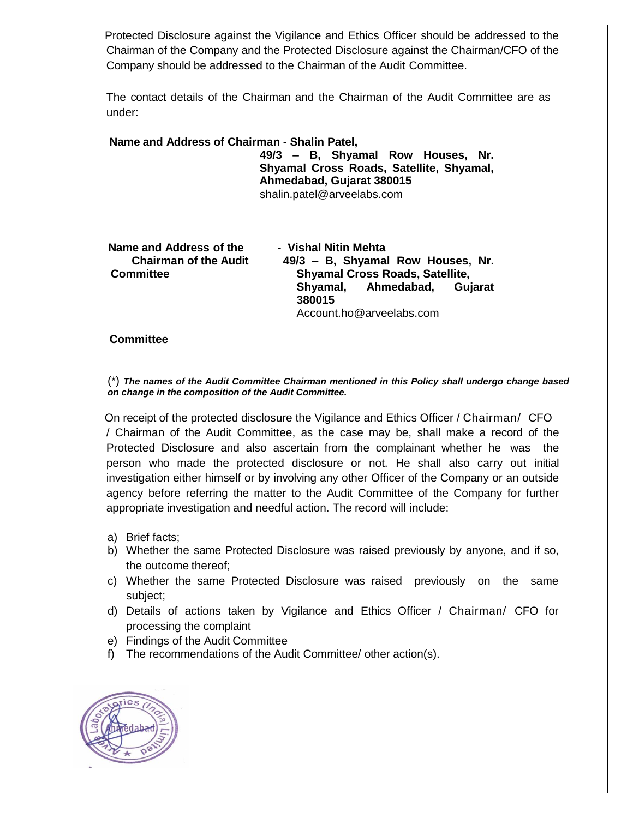Protected Disclosure against the Vigilance and Ethics Officer should be addressed to the Chairman of the Company and the Protected Disclosure against the Chairman/CFO of the Company should be addressed to the Chairman of the Audit Committee.

The contact details of the Chairman and the Chairman of the Audit Committee are as under:

**Name and Address of Chairman - Shalin Patel, 49/3 – B, Shyamal Row Houses, Nr.** 

**Shyamal Cross Roads, Satellite, Shyamal, Ahmedabad, Gujarat 380015** shalin.patel@arveelabs.com

Account.ho@arveelabs.com

 **Name and Address of the - Vishal Nitin Mehta Chairman of the Audit 49/3 – B, Shyamal Row Houses, Nr. Committee Shyamal Cross Roads, Satellite, Shyamal, Ahmedabad, Gujarat 380015**

# **Committee**

(\*) *The names of the Audit Committee Chairman mentioned in this Policy shall undergo change based on change in the composition of the Audit Committee.*

 On receipt of the protected disclosure the Vigilance and Ethics Officer / Chairman/ CFO / Chairman of the Audit Committee, as the case may be, shall make a record of the Protected Disclosure and also ascertain from the complainant whether he was the person who made the protected disclosure or not. He shall also carry out initial investigation either himself or by involving any other Officer of the Company or an outside agency before referring the matter to the Audit Committee of the Company for further appropriate investigation and needful action. The record will include:

- a) Brief facts;
- b) Whether the same Protected Disclosure was raised previously by anyone, and if so, the outcome thereof;
- c) Whether the same Protected Disclosure was raised previously on the same subject;
- d) Details of actions taken by Vigilance and Ethics Officer / Chairman/ CFO for processing the complaint
- e) Findings of the Audit Committee
- f) The recommendations of the Audit Committee/ other action(s).

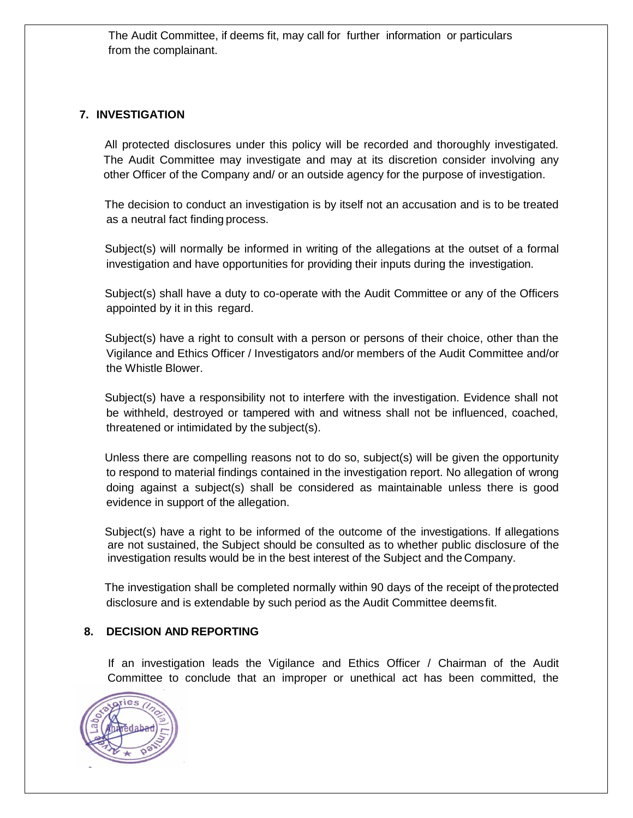The Audit Committee, if deems fit, may call for further information or particulars from the complainant.

#### **7. INVESTIGATION**

 All protected disclosures under this policy will be recorded and thoroughly investigated. The Audit Committee may investigate and may at its discretion consider involving any other Officer of the Company and/ or an outside agency for the purpose of investigation.

 The decision to conduct an investigation is by itself not an accusation and is to be treated as a neutral fact finding process.

 Subject(s) will normally be informed in writing of the allegations at the outset of a formal investigation and have opportunities for providing their inputs during the investigation.

 Subject(s) shall have a duty to co-operate with the Audit Committee or any of the Officers appointed by it in this regard.

 Subject(s) have a right to consult with a person or persons of their choice, other than the Vigilance and Ethics Officer / Investigators and/or members of the Audit Committee and/or the Whistle Blower.

 Subject(s) have a responsibility not to interfere with the investigation. Evidence shall not be withheld, destroyed or tampered with and witness shall not be influenced, coached, threatened or intimidated by the subject(s).

 Unless there are compelling reasons not to do so, subject(s) will be given the opportunity to respond to material findings contained in the investigation report. No allegation of wrong doing against a subject(s) shall be considered as maintainable unless there is good evidence in support of the allegation.

 Subject(s) have a right to be informed of the outcome of the investigations. If allegations are not sustained, the Subject should be consulted as to whether public disclosure of the investigation results would be in the best interest of the Subject and the Company.

 The investigation shall be completed normally within 90 days of the receipt of theprotected disclosure and is extendable by such period as the Audit Committee deemsfit.

#### **8. DECISION AND REPORTING**

 If an investigation leads the Vigilance and Ethics Officer / Chairman of the Audit Committee to conclude that an improper or unethical act has been committed, the

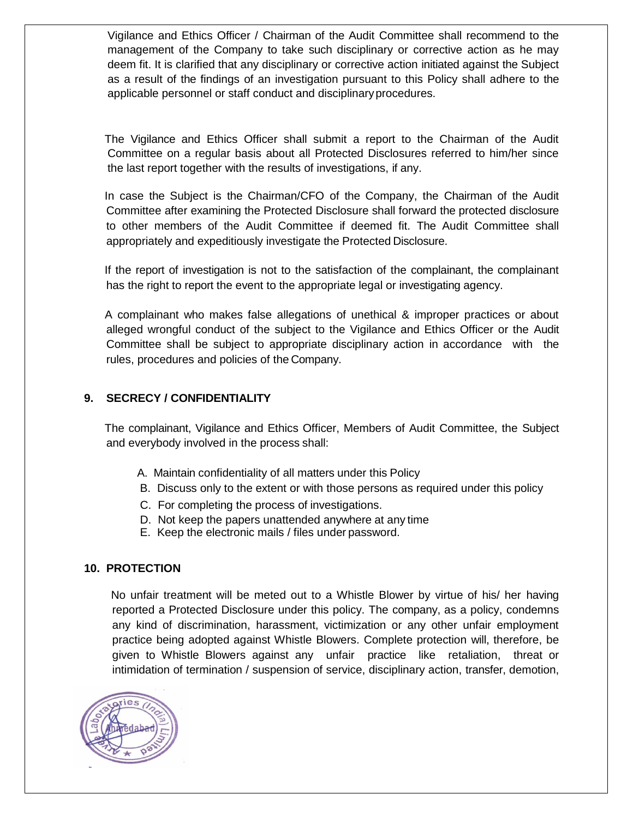Vigilance and Ethics Officer / Chairman of the Audit Committee shall recommend to the management of the Company to take such disciplinary or corrective action as he may deem fit. It is clarified that any disciplinary or corrective action initiated against the Subject as a result of the findings of an investigation pursuant to this Policy shall adhere to the applicable personnel or staff conduct and disciplinaryprocedures.

 The Vigilance and Ethics Officer shall submit a report to the Chairman of the Audit Committee on a regular basis about all Protected Disclosures referred to him/her since the last report together with the results of investigations, if any.

 In case the Subject is the Chairman/CFO of the Company, the Chairman of the Audit Committee after examining the Protected Disclosure shall forward the protected disclosure to other members of the Audit Committee if deemed fit. The Audit Committee shall appropriately and expeditiously investigate the Protected Disclosure.

 If the report of investigation is not to the satisfaction of the complainant, the complainant has the right to report the event to the appropriate legal or investigating agency.

 A complainant who makes false allegations of unethical & improper practices or about alleged wrongful conduct of the subject to the Vigilance and Ethics Officer or the Audit Committee shall be subject to appropriate disciplinary action in accordance with the rules, procedures and policies of the Company.

#### **9. SECRECY / CONFIDENTIALITY**

 The complainant, Vigilance and Ethics Officer, Members of Audit Committee, the Subject and everybody involved in the process shall:

- A. Maintain confidentiality of all matters under this Policy
- B. Discuss only to the extent or with those persons as required under this policy
- C. For completing the process of investigations.
- D. Not keep the papers unattended anywhere at any time
- E. Keep the electronic mails / files under password.

#### **10. PROTECTION**

 No unfair treatment will be meted out to a Whistle Blower by virtue of his/ her having reported a Protected Disclosure under this policy. The company, as a policy, condemns any kind of discrimination, harassment, victimization or any other unfair employment practice being adopted against Whistle Blowers. Complete protection will, therefore, be given to Whistle Blowers against any unfair practice like retaliation, threat or intimidation of termination / suspension of service, disciplinary action, transfer, demotion,

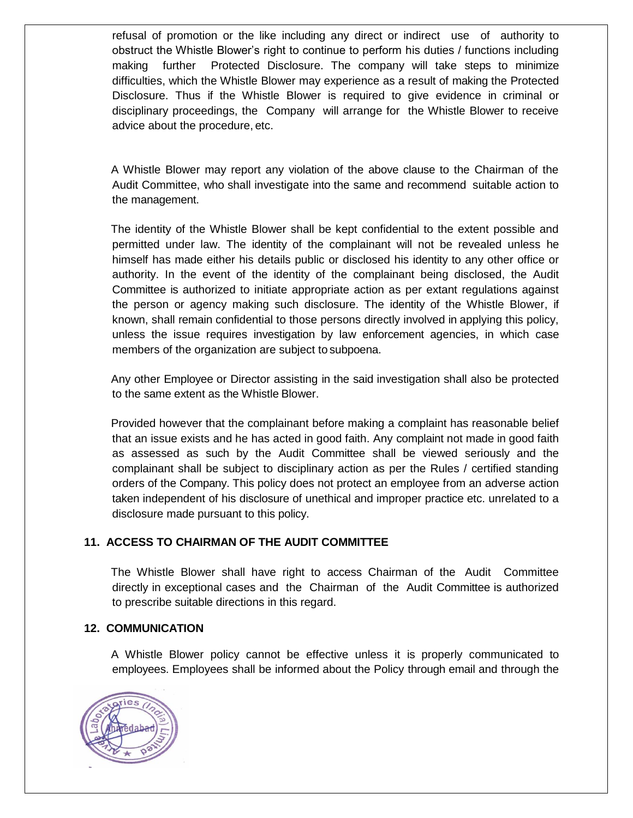refusal of promotion or the like including any direct or indirect use of authority to obstruct the Whistle Blower's right to continue to perform his duties / functions including making further Protected Disclosure. The company will take steps to minimize difficulties, which the Whistle Blower may experience as a result of making the Protected Disclosure. Thus if the Whistle Blower is required to give evidence in criminal or disciplinary proceedings, the Company will arrange for the Whistle Blower to receive advice about the procedure, etc.

 A Whistle Blower may report any violation of the above clause to the Chairman of the Audit Committee, who shall investigate into the same and recommend suitable action to the management.

 The identity of the Whistle Blower shall be kept confidential to the extent possible and permitted under law. The identity of the complainant will not be revealed unless he himself has made either his details public or disclosed his identity to any other office or authority. In the event of the identity of the complainant being disclosed, the Audit Committee is authorized to initiate appropriate action as per extant regulations against the person or agency making such disclosure. The identity of the Whistle Blower, if known, shall remain confidential to those persons directly involved in applying this policy, unless the issue requires investigation by law enforcement agencies, in which case members of the organization are subject to subpoena.

 Any other Employee or Director assisting in the said investigation shall also be protected to the same extent as the Whistle Blower.

 Provided however that the complainant before making a complaint has reasonable belief that an issue exists and he has acted in good faith. Any complaint not made in good faith as assessed as such by the Audit Committee shall be viewed seriously and the complainant shall be subject to disciplinary action as per the Rules / certified standing orders of the Company. This policy does not protect an employee from an adverse action taken independent of his disclosure of unethical and improper practice etc. unrelated to a disclosure made pursuant to this policy.

### **11. ACCESS TO CHAIRMAN OF THE AUDIT COMMITTEE**

 The Whistle Blower shall have right to access Chairman of the Audit Committee directly in exceptional cases and the Chairman of the Audit Committee is authorized to prescribe suitable directions in this regard.

#### **12. COMMUNICATION**

 A Whistle Blower policy cannot be effective unless it is properly communicated to employees. Employees shall be informed about the Policy through email and through the